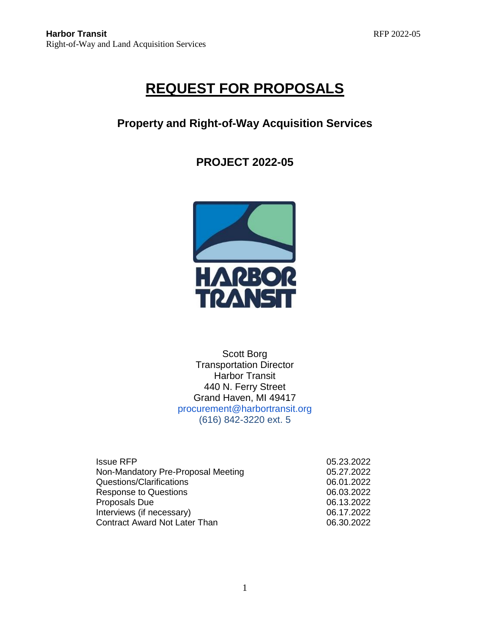# **REQUEST FOR PROPOSALS**

# **Property and Right-of-Way Acquisition Services**

# **PROJECT 2022-05**



Scott Borg Transportation Director Harbor Transit 440 N. Ferry Street Grand Haven, MI 49417 procurement@harbortransit.org (616) 842-3220 ext. 5

| <b>Issue RFP</b>                     | 05.23.2022 |
|--------------------------------------|------------|
| Non-Mandatory Pre-Proposal Meeting   | 05.27.2022 |
| Questions/Clarifications             | 06.01.2022 |
| <b>Response to Questions</b>         | 06.03.2022 |
| Proposals Due                        | 06.13.2022 |
| Interviews (if necessary)            | 06.17.2022 |
| <b>Contract Award Not Later Than</b> | 06.30.2022 |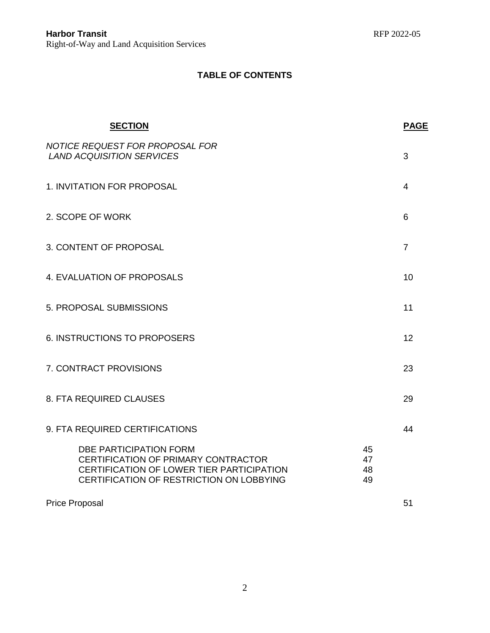# **TABLE OF CONTENTS**

| <b>SECTION</b>                                                                                                                                                |                      | <b>PAGE</b>    |
|---------------------------------------------------------------------------------------------------------------------------------------------------------------|----------------------|----------------|
| NOTICE REQUEST FOR PROPOSAL FOR<br><b>LAND ACQUISITION SERVICES</b>                                                                                           |                      | 3              |
| 1. INVITATION FOR PROPOSAL                                                                                                                                    |                      | 4              |
| 2. SCOPE OF WORK                                                                                                                                              |                      | 6              |
| 3. CONTENT OF PROPOSAL                                                                                                                                        |                      | $\overline{7}$ |
| 4. EVALUATION OF PROPOSALS                                                                                                                                    |                      | 10             |
| 5. PROPOSAL SUBMISSIONS                                                                                                                                       |                      | 11             |
| 6. INSTRUCTIONS TO PROPOSERS                                                                                                                                  |                      | 12             |
| 7. CONTRACT PROVISIONS                                                                                                                                        |                      | 23             |
| 8. FTA REQUIRED CLAUSES                                                                                                                                       |                      | 29             |
| 9. FTA REQUIRED CERTIFICATIONS                                                                                                                                |                      | 44             |
| <b>DBE PARTICIPATION FORM</b><br>CERTIFICATION OF PRIMARY CONTRACTOR<br>CERTIFICATION OF LOWER TIER PARTICIPATION<br>CERTIFICATION OF RESTRICTION ON LOBBYING | 45<br>47<br>48<br>49 |                |
| <b>Price Proposal</b>                                                                                                                                         |                      | 51             |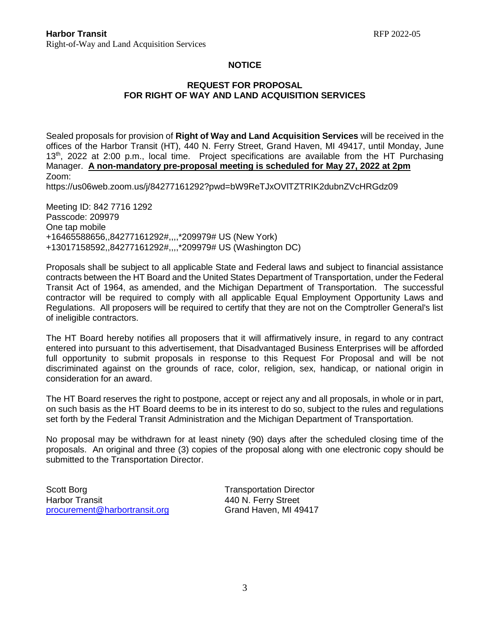### **NOTICE**

### **REQUEST FOR PROPOSAL FOR RIGHT OF WAY AND LAND ACQUISITION SERVICES**

Sealed proposals for provision of **Right of Way and Land Acquisition Services** will be received in the offices of the Harbor Transit (HT), 440 N. Ferry Street, Grand Haven, MI 49417, until Monday, June 13<sup>th</sup>, 2022 at 2:00 p.m., local time. Project specifications are available from the HT Purchasing Manager. **A non-mandatory pre-proposal meeting is scheduled for May 27, 2022 at 2pm** Zoom:

https://us06web.zoom.us/j/84277161292?pwd=bW9ReTJxOVlTZTRIK2dubnZVcHRGdz09

Meeting ID: 842 7716 1292 Passcode: 209979 One tap mobile +16465588656,,84277161292#,,,,\*209979# US (New York) +13017158592,,84277161292#,,,,\*209979# US (Washington DC)

Proposals shall be subject to all applicable State and Federal laws and subject to financial assistance contracts between the HT Board and the United States Department of Transportation, under the Federal Transit Act of 1964, as amended, and the Michigan Department of Transportation. The successful contractor will be required to comply with all applicable Equal Employment Opportunity Laws and Regulations. All proposers will be required to certify that they are not on the Comptroller General's list of ineligible contractors.

The HT Board hereby notifies all proposers that it will affirmatively insure, in regard to any contract entered into pursuant to this advertisement, that Disadvantaged Business Enterprises will be afforded full opportunity to submit proposals in response to this Request For Proposal and will be not discriminated against on the grounds of race, color, religion, sex, handicap, or national origin in consideration for an award.

The HT Board reserves the right to postpone, accept or reject any and all proposals, in whole or in part, on such basis as the HT Board deems to be in its interest to do so, subject to the rules and regulations set forth by the Federal Transit Administration and the Michigan Department of Transportation.

No proposal may be withdrawn for at least ninety (90) days after the scheduled closing time of the proposals. An original and three (3) copies of the proposal along with one electronic copy should be submitted to the Transportation Director.

Scott Borg Transportation Director Harbor Transit **All Accord 1440 N. Ferry Street** [procurement@harbortransit.org](mailto:procurement@harbortransit.org) Grand Haven, MI 49417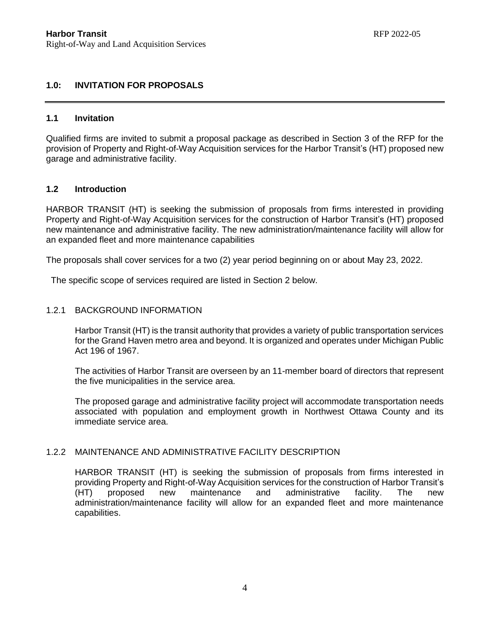# **1.0: INVITATION FOR PROPOSALS**

#### **1.1 Invitation**

Qualified firms are invited to submit a proposal package as described in Section 3 of the RFP for the provision of Property and Right-of-Way Acquisition services for the Harbor Transit's (HT) proposed new garage and administrative facility.

#### **1.2 Introduction**

HARBOR TRANSIT (HT) is seeking the submission of proposals from firms interested in providing Property and Right-of-Way Acquisition services for the construction of Harbor Transit's (HT) proposed new maintenance and administrative facility. The new administration/maintenance facility will allow for an expanded fleet and more maintenance capabilities

The proposals shall cover services for a two (2) year period beginning on or about May 23, 2022.

The specific scope of services required are listed in Section 2 below.

#### 1.2.1 BACKGROUND INFORMATION

Harbor Transit (HT) is the transit authority that provides a variety of public transportation services for the Grand Haven metro area and beyond. It is organized and operates under Michigan Public Act 196 of 1967.

The activities of Harbor Transit are overseen by an 11-member board of directors that represent the five municipalities in the service area.

The proposed garage and administrative facility project will accommodate transportation needs associated with population and employment growth in Northwest Ottawa County and its immediate service area.

### 1.2.2 MAINTENANCE AND ADMINISTRATIVE FACILITY DESCRIPTION

HARBOR TRANSIT (HT) is seeking the submission of proposals from firms interested in providing Property and Right-of-Way Acquisition services for the construction of Harbor Transit's (HT) proposed new maintenance and administrative facility. The new administration/maintenance facility will allow for an expanded fleet and more maintenance capabilities.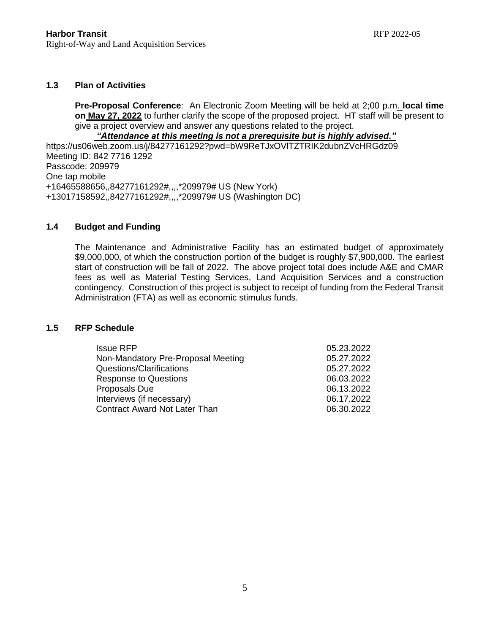### **1.3 Plan of Activities**

**Pre-Proposal Conference**: An Electronic Zoom Meeting will be held at 2;00 p.m. **local time on May 27, 2022** to further clarify the scope of the proposed project. HT staff will be present to give a project overview and answer any questions related to the project.

#### *"Attendance at this meeting is not a prerequisite but is highly advised."*

https://us06web.zoom.us/j/84277161292?pwd=bW9ReTJxOVlTZTRIK2dubnZVcHRGdz09 Meeting ID: 842 7716 1292 Passcode: 209979 One tap mobile +16465588656,,84277161292#,,,,\*209979# US (New York) +13017158592,,84277161292#,,,,\*209979# US (Washington DC)

# **1.4 Budget and Funding**

The Maintenance and Administrative Facility has an estimated budget of approximately \$9,000,000, of which the construction portion of the budget is roughly \$7,900,000. The earliest start of construction will be fall of 2022. The above project total does include A&E and CMAR fees as well as Material Testing Services, Land Acquisition Services and a construction contingency. Construction of this project is subject to receipt of funding from the Federal Transit Administration (FTA) as well as economic stimulus funds.

#### **1.5 RFP Schedule**

| 05.23.2022 |
|------------|
| 05.27.2022 |
| 05.27.2022 |
| 06.03.2022 |
| 06.13.2022 |
| 06.17.2022 |
| 06.30.2022 |
|            |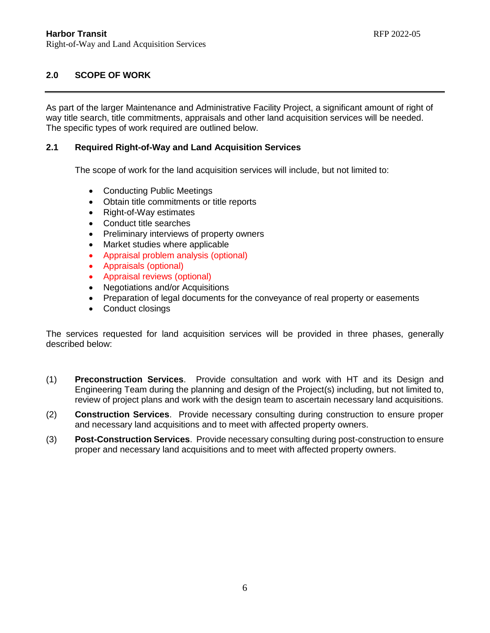# **2.0 SCOPE OF WORK**

As part of the larger Maintenance and Administrative Facility Project, a significant amount of right of way title search, title commitments, appraisals and other land acquisition services will be needed. The specific types of work required are outlined below.

### **2.1 Required Right-of-Way and Land Acquisition Services**

The scope of work for the land acquisition services will include, but not limited to:

- Conducting Public Meetings
- Obtain title commitments or title reports
- Right-of-Way estimates
- Conduct title searches
- Preliminary interviews of property owners
- Market studies where applicable
- Appraisal problem analysis (optional)
- Appraisals (optional)
- Appraisal reviews (optional)
- Negotiations and/or Acquisitions
- Preparation of legal documents for the conveyance of real property or easements
- Conduct closings

The services requested for land acquisition services will be provided in three phases, generally described below:

- (1) **Preconstruction Services**. Provide consultation and work with HT and its Design and Engineering Team during the planning and design of the Project(s) including, but not limited to, review of project plans and work with the design team to ascertain necessary land acquisitions.
- (2) **Construction Services**. Provide necessary consulting during construction to ensure proper and necessary land acquisitions and to meet with affected property owners.
- (3) **Post-Construction Services**. Provide necessary consulting during post-construction to ensure proper and necessary land acquisitions and to meet with affected property owners.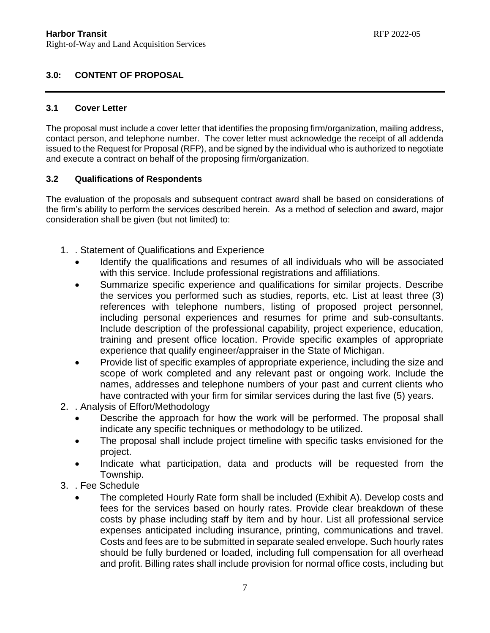# **3.0: CONTENT OF PROPOSAL**

### **3.1 Cover Letter**

The proposal must include a cover letter that identifies the proposing firm/organization, mailing address, contact person, and telephone number. The cover letter must acknowledge the receipt of all addenda issued to the Request for Proposal (RFP), and be signed by the individual who is authorized to negotiate and execute a contract on behalf of the proposing firm/organization.

### **3.2 Qualifications of Respondents**

The evaluation of the proposals and subsequent contract award shall be based on considerations of the firm's ability to perform the services described herein. As a method of selection and award, major consideration shall be given (but not limited) to:

- 1. . Statement of Qualifications and Experience
	- Identify the qualifications and resumes of all individuals who will be associated with this service. Include professional registrations and affiliations.
	- Summarize specific experience and qualifications for similar projects. Describe the services you performed such as studies, reports, etc. List at least three (3) references with telephone numbers, listing of proposed project personnel, including personal experiences and resumes for prime and sub-consultants. Include description of the professional capability, project experience, education, training and present office location. Provide specific examples of appropriate experience that qualify engineer/appraiser in the State of Michigan.
	- Provide list of specific examples of appropriate experience, including the size and scope of work completed and any relevant past or ongoing work. Include the names, addresses and telephone numbers of your past and current clients who have contracted with your firm for similar services during the last five (5) years.
- 2. . Analysis of Effort/Methodology
	- Describe the approach for how the work will be performed. The proposal shall indicate any specific techniques or methodology to be utilized.
	- The proposal shall include project timeline with specific tasks envisioned for the project.
	- Indicate what participation, data and products will be requested from the Township.
- 3. . Fee Schedule
	- The completed Hourly Rate form shall be included (Exhibit A). Develop costs and fees for the services based on hourly rates. Provide clear breakdown of these costs by phase including staff by item and by hour. List all professional service expenses anticipated including insurance, printing, communications and travel. Costs and fees are to be submitted in separate sealed envelope. Such hourly rates should be fully burdened or loaded, including full compensation for all overhead and profit. Billing rates shall include provision for normal office costs, including but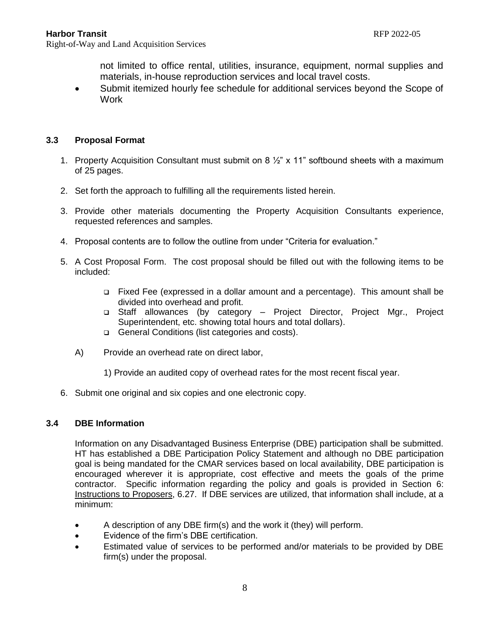not limited to office rental, utilities, insurance, equipment, normal supplies and materials, in-house reproduction services and local travel costs.

 Submit itemized hourly fee schedule for additional services beyond the Scope of Work

# **3.3 Proposal Format**

- 1. Property Acquisition Consultant must submit on 8  $\frac{1}{2}$  x 11" softbound sheets with a maximum of 25 pages.
- 2. Set forth the approach to fulfilling all the requirements listed herein.
- 3. Provide other materials documenting the Property Acquisition Consultants experience, requested references and samples.
- 4. Proposal contents are to follow the outline from under "Criteria for evaluation."
- 5. A Cost Proposal Form. The cost proposal should be filled out with the following items to be included:
	- Fixed Fee (expressed in a dollar amount and a percentage). This amount shall be divided into overhead and profit.
	- Staff allowances (by category Project Director, Project Mgr., Project Superintendent, etc. showing total hours and total dollars).
	- □ General Conditions (list categories and costs).
	- A) Provide an overhead rate on direct labor,
		- 1) Provide an audited copy of overhead rates for the most recent fiscal year.
- 6. Submit one original and six copies and one electronic copy.

### **3.4 DBE Information**

Information on any Disadvantaged Business Enterprise (DBE) participation shall be submitted. HT has established a DBE Participation Policy Statement and although no DBE participation goal is being mandated for the CMAR services based on local availability, DBE participation is encouraged wherever it is appropriate, cost effective and meets the goals of the prime contractor. Specific information regarding the policy and goals is provided in Section 6: Instructions to Proposers, 6.27. If DBE services are utilized, that information shall include, at a minimum:

- A description of any DBE firm(s) and the work it (they) will perform.
- Evidence of the firm's DBE certification.
- Estimated value of services to be performed and/or materials to be provided by DBE firm(s) under the proposal.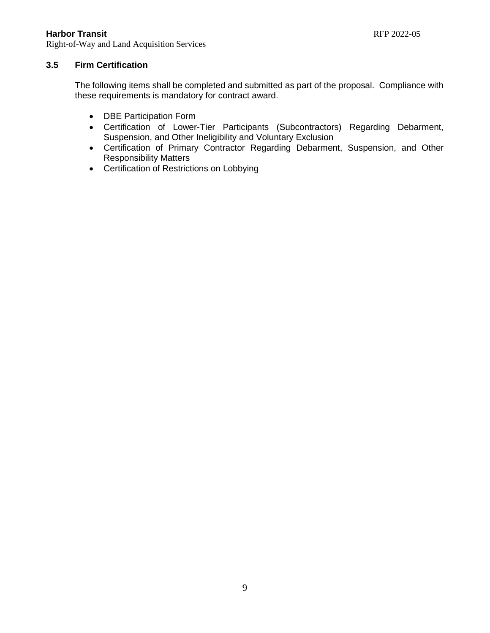Right-of-Way and Land Acquisition Services

# **3.5 Firm Certification**

The following items shall be completed and submitted as part of the proposal. Compliance with these requirements is mandatory for contract award.

- DBE Participation Form
- Certification of Lower-Tier Participants (Subcontractors) Regarding Debarment, Suspension, and Other Ineligibility and Voluntary Exclusion
- Certification of Primary Contractor Regarding Debarment, Suspension, and Other Responsibility Matters
- Certification of Restrictions on Lobbying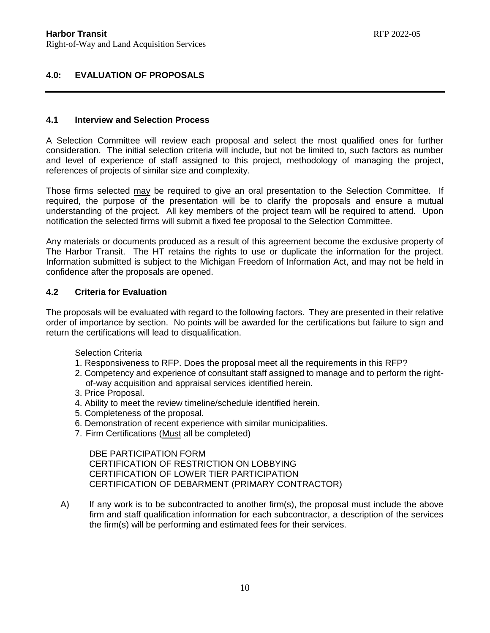# **4.0: EVALUATION OF PROPOSALS**

### **4.1 Interview and Selection Process**

A Selection Committee will review each proposal and select the most qualified ones for further consideration. The initial selection criteria will include, but not be limited to, such factors as number and level of experience of staff assigned to this project, methodology of managing the project, references of projects of similar size and complexity.

Those firms selected may be required to give an oral presentation to the Selection Committee. If required, the purpose of the presentation will be to clarify the proposals and ensure a mutual understanding of the project. All key members of the project team will be required to attend. Upon notification the selected firms will submit a fixed fee proposal to the Selection Committee.

Any materials or documents produced as a result of this agreement become the exclusive property of The Harbor Transit. The HT retains the rights to use or duplicate the information for the project. Information submitted is subject to the Michigan Freedom of Information Act, and may not be held in confidence after the proposals are opened.

### **4.2 Criteria for Evaluation**

The proposals will be evaluated with regard to the following factors. They are presented in their relative order of importance by section. No points will be awarded for the certifications but failure to sign and return the certifications will lead to disqualification.

Selection Criteria

- 1. Responsiveness to RFP. Does the proposal meet all the requirements in this RFP?
- 2. Competency and experience of consultant staff assigned to manage and to perform the rightof-way acquisition and appraisal services identified herein.
- 3. Price Proposal.
- 4. Ability to meet the review timeline/schedule identified herein.
- 5. Completeness of the proposal.
- 6. Demonstration of recent experience with similar municipalities.
- 7. Firm Certifications (Must all be completed)

DBE PARTICIPATION FORM CERTIFICATION OF RESTRICTION ON LOBBYING CERTIFICATION OF LOWER TIER PARTICIPATION CERTIFICATION OF DEBARMENT (PRIMARY CONTRACTOR)

A) If any work is to be subcontracted to another firm(s), the proposal must include the above firm and staff qualification information for each subcontractor, a description of the services the firm(s) will be performing and estimated fees for their services.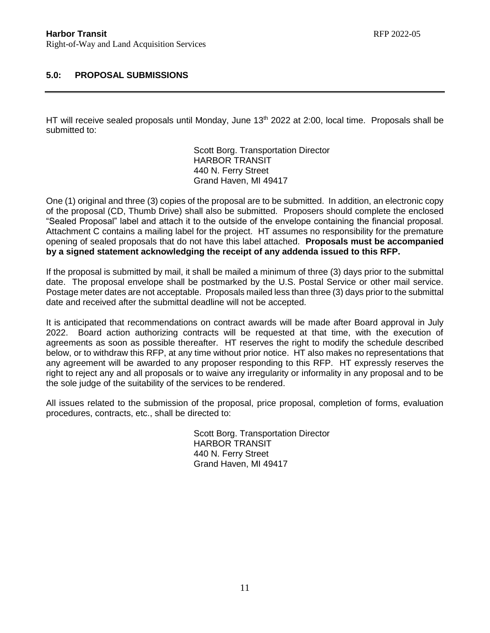# **5.0: PROPOSAL SUBMISSIONS**

HT will receive sealed proposals until Monday, June 13<sup>th</sup> 2022 at 2:00, local time. Proposals shall be submitted to:

> Scott Borg. Transportation Director HARBOR TRANSIT 440 N. Ferry Street Grand Haven, MI 49417

One (1) original and three (3) copies of the proposal are to be submitted. In addition, an electronic copy of the proposal (CD, Thumb Drive) shall also be submitted. Proposers should complete the enclosed "Sealed Proposal" label and attach it to the outside of the envelope containing the financial proposal. Attachment C contains a mailing label for the project. HT assumes no responsibility for the premature opening of sealed proposals that do not have this label attached. **Proposals must be accompanied by a signed statement acknowledging the receipt of any addenda issued to this RFP.**

If the proposal is submitted by mail, it shall be mailed a minimum of three (3) days prior to the submittal date. The proposal envelope shall be postmarked by the U.S. Postal Service or other mail service. Postage meter dates are not acceptable. Proposals mailed less than three (3) days prior to the submittal date and received after the submittal deadline will not be accepted.

It is anticipated that recommendations on contract awards will be made after Board approval in July 2022. Board action authorizing contracts will be requested at that time, with the execution of agreements as soon as possible thereafter. HT reserves the right to modify the schedule described below, or to withdraw this RFP, at any time without prior notice. HT also makes no representations that any agreement will be awarded to any proposer responding to this RFP. HT expressly reserves the right to reject any and all proposals or to waive any irregularity or informality in any proposal and to be the sole judge of the suitability of the services to be rendered.

All issues related to the submission of the proposal, price proposal, completion of forms, evaluation procedures, contracts, etc., shall be directed to:

> Scott Borg. Transportation Director HARBOR TRANSIT 440 N. Ferry Street Grand Haven, MI 49417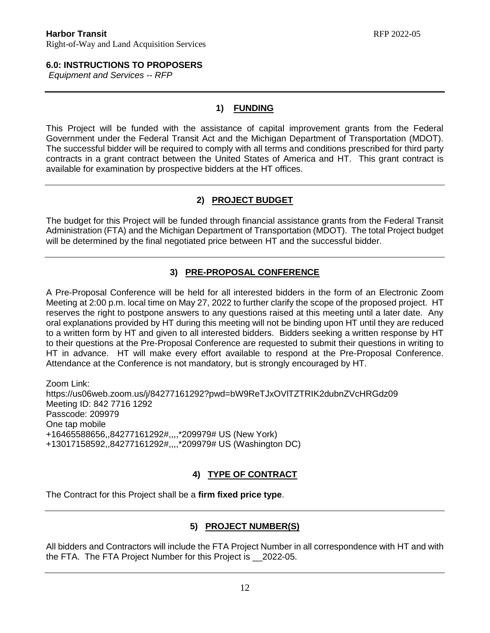# **6.0: INSTRUCTIONS TO PROPOSERS**

*Equipment and Services -- RFP*

# **1) FUNDING**

This Project will be funded with the assistance of capital improvement grants from the Federal Government under the Federal Transit Act and the Michigan Department of Transportation (MDOT). The successful bidder will be required to comply with all terms and conditions prescribed for third party contracts in a grant contract between the United States of America and HT. This grant contract is available for examination by prospective bidders at the HT offices.

# **2) PROJECT BUDGET**

The budget for this Project will be funded through financial assistance grants from the Federal Transit Administration (FTA) and the Michigan Department of Transportation (MDOT). The total Project budget will be determined by the final negotiated price between HT and the successful bidder.

# **3) PRE-PROPOSAL CONFERENCE**

A Pre-Proposal Conference will be held for all interested bidders in the form of an Electronic Zoom Meeting at 2:00 p.m. local time on May 27, 2022 to further clarify the scope of the proposed project. HT reserves the right to postpone answers to any questions raised at this meeting until a later date. Any oral explanations provided by HT during this meeting will not be binding upon HT until they are reduced to a written form by HT and given to all interested bidders. Bidders seeking a written response by HT to their questions at the Pre-Proposal Conference are requested to submit their questions in writing to HT in advance. HT will make every effort available to respond at the Pre-Proposal Conference. Attendance at the Conference is not mandatory, but is strongly encouraged by HT.

Zoom Link: https://us06web.zoom.us/j/84277161292?pwd=bW9ReTJxOVlTZTRIK2dubnZVcHRGdz09 Meeting ID: 842 7716 1292 Passcode: 209979 One tap mobile +16465588656,,84277161292#,,,,\*209979# US (New York) +13017158592,,84277161292#,,,,\*209979# US (Washington DC)

# **4) TYPE OF CONTRACT**

The Contract for this Project shall be a **firm fixed price type**.

# **5) PROJECT NUMBER(S)**

All bidders and Contractors will include the FTA Project Number in all correspondence with HT and with the FTA. The FTA Project Number for this Project is \_\_2022-05.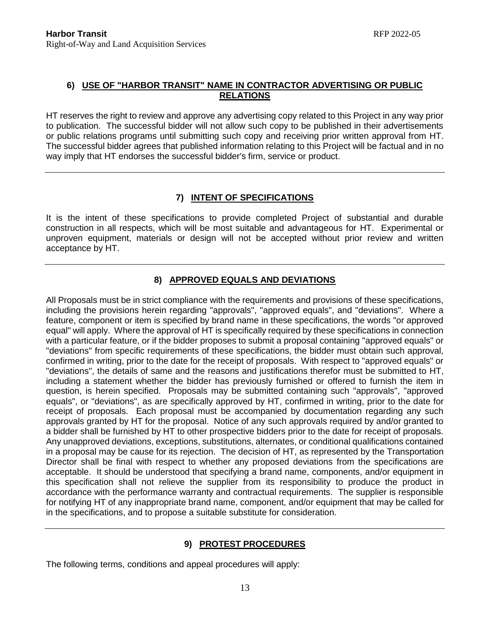# **6) USE OF "HARBOR TRANSIT" NAME IN CONTRACTOR ADVERTISING OR PUBLIC RELATIONS**

HT reserves the right to review and approve any advertising copy related to this Project in any way prior to publication. The successful bidder will not allow such copy to be published in their advertisements or public relations programs until submitting such copy and receiving prior written approval from HT. The successful bidder agrees that published information relating to this Project will be factual and in no way imply that HT endorses the successful bidder's firm, service or product.

# **7) INTENT OF SPECIFICATIONS**

It is the intent of these specifications to provide completed Project of substantial and durable construction in all respects, which will be most suitable and advantageous for HT. Experimental or unproven equipment, materials or design will not be accepted without prior review and written acceptance by HT.

# **8) APPROVED EQUALS AND DEVIATIONS**

All Proposals must be in strict compliance with the requirements and provisions of these specifications, including the provisions herein regarding "approvals", "approved equals", and "deviations". Where a feature, component or item is specified by brand name in these specifications, the words "or approved equal" will apply. Where the approval of HT is specifically required by these specifications in connection with a particular feature, or if the bidder proposes to submit a proposal containing "approved equals" or "deviations" from specific requirements of these specifications, the bidder must obtain such approval, confirmed in writing, prior to the date for the receipt of proposals. With respect to "approved equals" or "deviations", the details of same and the reasons and justifications therefor must be submitted to HT, including a statement whether the bidder has previously furnished or offered to furnish the item in question, is herein specified. Proposals may be submitted containing such "approvals", "approved equals", or "deviations", as are specifically approved by HT, confirmed in writing, prior to the date for receipt of proposals. Each proposal must be accompanied by documentation regarding any such approvals granted by HT for the proposal. Notice of any such approvals required by and/or granted to a bidder shall be furnished by HT to other prospective bidders prior to the date for receipt of proposals. Any unapproved deviations, exceptions, substitutions, alternates, or conditional qualifications contained in a proposal may be cause for its rejection. The decision of HT, as represented by the Transportation Director shall be final with respect to whether any proposed deviations from the specifications are acceptable. It should be understood that specifying a brand name, components, and/or equipment in this specification shall not relieve the supplier from its responsibility to produce the product in accordance with the performance warranty and contractual requirements. The supplier is responsible for notifying HT of any inappropriate brand name, component, and/or equipment that may be called for in the specifications, and to propose a suitable substitute for consideration.

# **9) PROTEST PROCEDURES**

The following terms, conditions and appeal procedures will apply: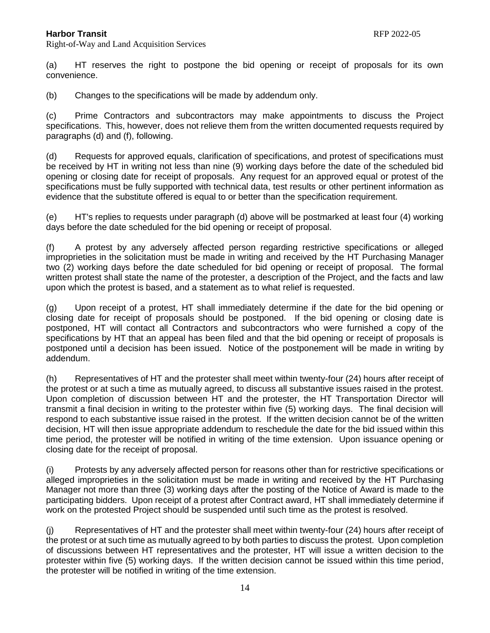Right-of-Way and Land Acquisition Services

(a) HT reserves the right to postpone the bid opening or receipt of proposals for its own convenience.

(b) Changes to the specifications will be made by addendum only.

(c) Prime Contractors and subcontractors may make appointments to discuss the Project specifications. This, however, does not relieve them from the written documented requests required by paragraphs (d) and (f), following.

(d) Requests for approved equals, clarification of specifications, and protest of specifications must be received by HT in writing not less than nine (9) working days before the date of the scheduled bid opening or closing date for receipt of proposals. Any request for an approved equal or protest of the specifications must be fully supported with technical data, test results or other pertinent information as evidence that the substitute offered is equal to or better than the specification requirement.

(e) HT's replies to requests under paragraph (d) above will be postmarked at least four (4) working days before the date scheduled for the bid opening or receipt of proposal.

(f) A protest by any adversely affected person regarding restrictive specifications or alleged improprieties in the solicitation must be made in writing and received by the HT Purchasing Manager two (2) working days before the date scheduled for bid opening or receipt of proposal. The formal written protest shall state the name of the protester, a description of the Project, and the facts and law upon which the protest is based, and a statement as to what relief is requested.

(g) Upon receipt of a protest, HT shall immediately determine if the date for the bid opening or closing date for receipt of proposals should be postponed. If the bid opening or closing date is postponed, HT will contact all Contractors and subcontractors who were furnished a copy of the specifications by HT that an appeal has been filed and that the bid opening or receipt of proposals is postponed until a decision has been issued. Notice of the postponement will be made in writing by addendum.

(h) Representatives of HT and the protester shall meet within twenty-four (24) hours after receipt of the protest or at such a time as mutually agreed, to discuss all substantive issues raised in the protest. Upon completion of discussion between HT and the protester, the HT Transportation Director will transmit a final decision in writing to the protester within five (5) working days. The final decision will respond to each substantive issue raised in the protest. If the written decision cannot be of the written decision, HT will then issue appropriate addendum to reschedule the date for the bid issued within this time period, the protester will be notified in writing of the time extension. Upon issuance opening or closing date for the receipt of proposal.

(i) Protests by any adversely affected person for reasons other than for restrictive specifications or alleged improprieties in the solicitation must be made in writing and received by the HT Purchasing Manager not more than three (3) working days after the posting of the Notice of Award is made to the participating bidders. Upon receipt of a protest after Contract award, HT shall immediately determine if work on the protested Project should be suspended until such time as the protest is resolved.

(j) Representatives of HT and the protester shall meet within twenty-four (24) hours after receipt of the protest or at such time as mutually agreed to by both parties to discuss the protest. Upon completion of discussions between HT representatives and the protester, HT will issue a written decision to the protester within five (5) working days. If the written decision cannot be issued within this time period, the protester will be notified in writing of the time extension.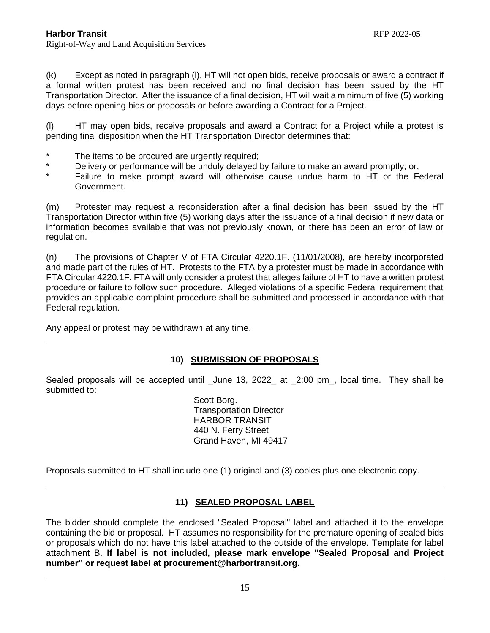(k) Except as noted in paragraph (l), HT will not open bids, receive proposals or award a contract if a formal written protest has been received and no final decision has been issued by the HT Transportation Director. After the issuance of a final decision, HT will wait a minimum of five (5) working days before opening bids or proposals or before awarding a Contract for a Project.

(l) HT may open bids, receive proposals and award a Contract for a Project while a protest is pending final disposition when the HT Transportation Director determines that:

- \* The items to be procured are urgently required;<br>\* Delivery or performance will be unduly delayed.
- \* Delivery or performance will be unduly delayed by failure to make an award promptly; or,<br>Failure to make premate pued will otherwise souse undue herm to UT at the F
- Failure to make prompt award will otherwise cause undue harm to HT or the Federal Government.

(m) Protester may request a reconsideration after a final decision has been issued by the HT Transportation Director within five (5) working days after the issuance of a final decision if new data or information becomes available that was not previously known, or there has been an error of law or regulation.

(n) The provisions of Chapter V of FTA Circular 4220.1F. (11/01/2008), are hereby incorporated and made part of the rules of HT. Protests to the FTA by a protester must be made in accordance with FTA Circular 4220.1F. FTA will only consider a protest that alleges failure of HT to have a written protest procedure or failure to follow such procedure. Alleged violations of a specific Federal requirement that provides an applicable complaint procedure shall be submitted and processed in accordance with that Federal regulation.

Any appeal or protest may be withdrawn at any time.

# **10) SUBMISSION OF PROPOSALS**

Sealed proposals will be accepted until \_June 13, 2022\_ at \_2:00 pm\_, local time. They shall be submitted to:

> Scott Borg. Transportation Director HARBOR TRANSIT 440 N. Ferry Street Grand Haven, MI 49417

Proposals submitted to HT shall include one (1) original and (3) copies plus one electronic copy.

# **11) SEALED PROPOSAL LABEL**

The bidder should complete the enclosed "Sealed Proposal" label and attached it to the envelope containing the bid or proposal. HT assumes no responsibility for the premature opening of sealed bids or proposals which do not have this label attached to the outside of the envelope. Template for label attachment B. **If label is not included, please mark envelope "Sealed Proposal and Project number" or request label at procurement@harbortransit.org.**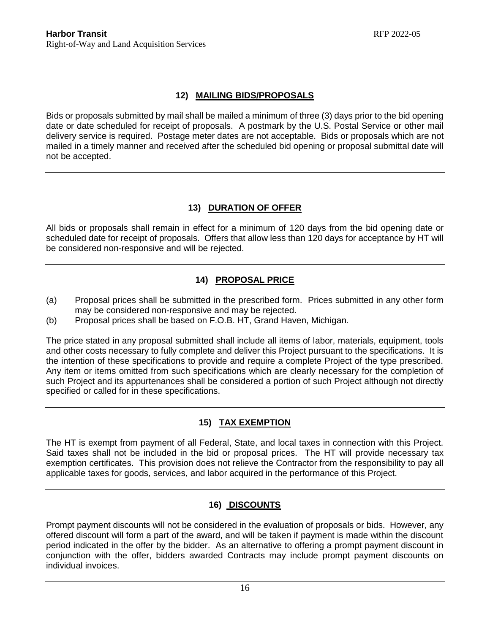# **12) MAILING BIDS/PROPOSALS**

Bids or proposals submitted by mail shall be mailed a minimum of three (3) days prior to the bid opening date or date scheduled for receipt of proposals. A postmark by the U.S. Postal Service or other mail delivery service is required. Postage meter dates are not acceptable. Bids or proposals which are not mailed in a timely manner and received after the scheduled bid opening or proposal submittal date will not be accepted.

# **13) DURATION OF OFFER**

All bids or proposals shall remain in effect for a minimum of 120 days from the bid opening date or scheduled date for receipt of proposals. Offers that allow less than 120 days for acceptance by HT will be considered non-responsive and will be rejected.

# **14) PROPOSAL PRICE**

- (a) Proposal prices shall be submitted in the prescribed form. Prices submitted in any other form may be considered non-responsive and may be rejected.
- (b) Proposal prices shall be based on F.O.B. HT, Grand Haven, Michigan.

The price stated in any proposal submitted shall include all items of labor, materials, equipment, tools and other costs necessary to fully complete and deliver this Project pursuant to the specifications. It is the intention of these specifications to provide and require a complete Project of the type prescribed. Any item or items omitted from such specifications which are clearly necessary for the completion of such Project and its appurtenances shall be considered a portion of such Project although not directly specified or called for in these specifications.

# **15) TAX EXEMPTION**

The HT is exempt from payment of all Federal, State, and local taxes in connection with this Project. Said taxes shall not be included in the bid or proposal prices. The HT will provide necessary tax exemption certificates. This provision does not relieve the Contractor from the responsibility to pay all applicable taxes for goods, services, and labor acquired in the performance of this Project.

# **16) DISCOUNTS**

Prompt payment discounts will not be considered in the evaluation of proposals or bids. However, any offered discount will form a part of the award, and will be taken if payment is made within the discount period indicated in the offer by the bidder. As an alternative to offering a prompt payment discount in conjunction with the offer, bidders awarded Contracts may include prompt payment discounts on individual invoices.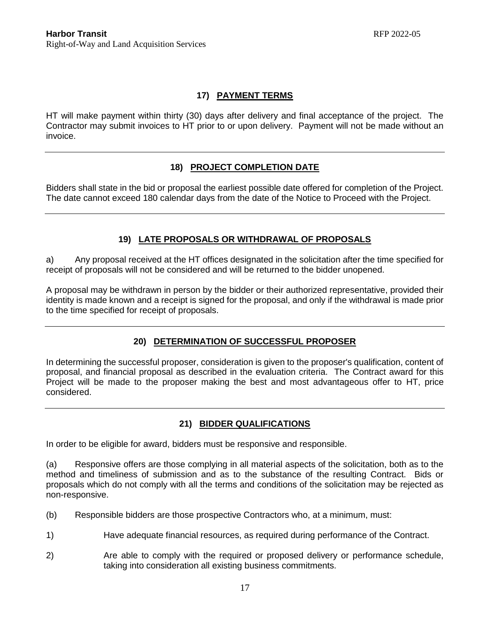# **17) PAYMENT TERMS**

HT will make payment within thirty (30) days after delivery and final acceptance of the project. The Contractor may submit invoices to HT prior to or upon delivery. Payment will not be made without an invoice.

# **18) PROJECT COMPLETION DATE**

Bidders shall state in the bid or proposal the earliest possible date offered for completion of the Project. The date cannot exceed 180 calendar days from the date of the Notice to Proceed with the Project.

# **19) LATE PROPOSALS OR WITHDRAWAL OF PROPOSALS**

a) Any proposal received at the HT offices designated in the solicitation after the time specified for receipt of proposals will not be considered and will be returned to the bidder unopened.

A proposal may be withdrawn in person by the bidder or their authorized representative, provided their identity is made known and a receipt is signed for the proposal, and only if the withdrawal is made prior to the time specified for receipt of proposals.

# **20) DETERMINATION OF SUCCESSFUL PROPOSER**

In determining the successful proposer, consideration is given to the proposer's qualification, content of proposal, and financial proposal as described in the evaluation criteria. The Contract award for this Project will be made to the proposer making the best and most advantageous offer to HT, price considered.

# **21) BIDDER QUALIFICATIONS**

In order to be eligible for award, bidders must be responsive and responsible.

(a) Responsive offers are those complying in all material aspects of the solicitation, both as to the method and timeliness of submission and as to the substance of the resulting Contract. Bids or proposals which do not comply with all the terms and conditions of the solicitation may be rejected as non-responsive.

- (b) Responsible bidders are those prospective Contractors who, at a minimum, must:
- 1) Have adequate financial resources, as required during performance of the Contract.
- 2) Are able to comply with the required or proposed delivery or performance schedule, taking into consideration all existing business commitments.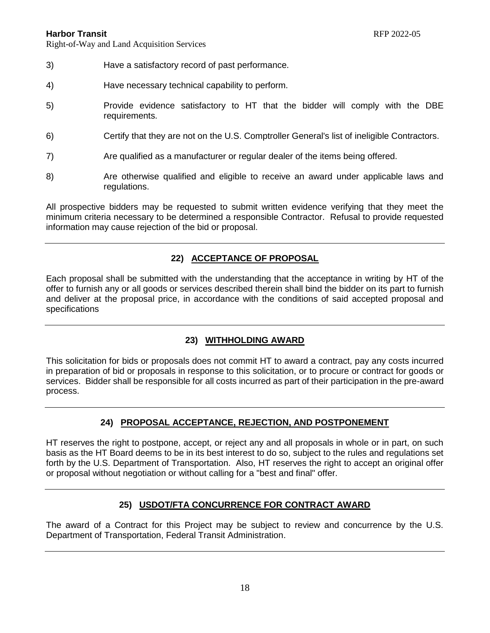Right-of-Way and Land Acquisition Services

- 3) Have a satisfactory record of past performance.
- 4) Have necessary technical capability to perform.
- 5) Provide evidence satisfactory to HT that the bidder will comply with the DBE requirements.
- 6) Certify that they are not on the U.S. Comptroller General's list of ineligible Contractors.
- 7) Are qualified as a manufacturer or regular dealer of the items being offered.
- 8) Are otherwise qualified and eligible to receive an award under applicable laws and regulations.

All prospective bidders may be requested to submit written evidence verifying that they meet the minimum criteria necessary to be determined a responsible Contractor. Refusal to provide requested information may cause rejection of the bid or proposal.

# **22) ACCEPTANCE OF PROPOSAL**

Each proposal shall be submitted with the understanding that the acceptance in writing by HT of the offer to furnish any or all goods or services described therein shall bind the bidder on its part to furnish and deliver at the proposal price, in accordance with the conditions of said accepted proposal and specifications

# **23) WITHHOLDING AWARD**

This solicitation for bids or proposals does not commit HT to award a contract, pay any costs incurred in preparation of bid or proposals in response to this solicitation, or to procure or contract for goods or services. Bidder shall be responsible for all costs incurred as part of their participation in the pre-award process.

# **24) PROPOSAL ACCEPTANCE, REJECTION, AND POSTPONEMENT**

HT reserves the right to postpone, accept, or reject any and all proposals in whole or in part, on such basis as the HT Board deems to be in its best interest to do so, subject to the rules and regulations set forth by the U.S. Department of Transportation. Also, HT reserves the right to accept an original offer or proposal without negotiation or without calling for a "best and final" offer.

# **25) USDOT/FTA CONCURRENCE FOR CONTRACT AWARD**

The award of a Contract for this Project may be subject to review and concurrence by the U.S. Department of Transportation, Federal Transit Administration.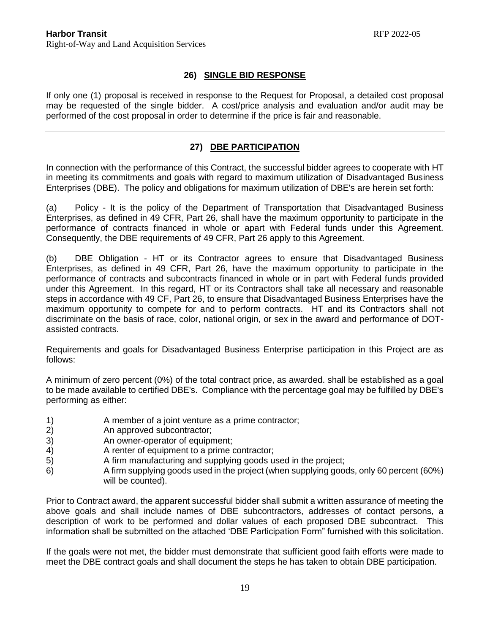### **26) SINGLE BID RESPONSE**

If only one (1) proposal is received in response to the Request for Proposal, a detailed cost proposal may be requested of the single bidder. A cost/price analysis and evaluation and/or audit may be performed of the cost proposal in order to determine if the price is fair and reasonable.

# **27) DBE PARTICIPATION**

In connection with the performance of this Contract, the successful bidder agrees to cooperate with HT in meeting its commitments and goals with regard to maximum utilization of Disadvantaged Business Enterprises (DBE). The policy and obligations for maximum utilization of DBE's are herein set forth:

(a) Policy - It is the policy of the Department of Transportation that Disadvantaged Business Enterprises, as defined in 49 CFR, Part 26, shall have the maximum opportunity to participate in the performance of contracts financed in whole or apart with Federal funds under this Agreement. Consequently, the DBE requirements of 49 CFR, Part 26 apply to this Agreement.

(b) DBE Obligation - HT or its Contractor agrees to ensure that Disadvantaged Business Enterprises, as defined in 49 CFR, Part 26, have the maximum opportunity to participate in the performance of contracts and subcontracts financed in whole or in part with Federal funds provided under this Agreement. In this regard, HT or its Contractors shall take all necessary and reasonable steps in accordance with 49 CF, Part 26, to ensure that Disadvantaged Business Enterprises have the maximum opportunity to compete for and to perform contracts. HT and its Contractors shall not discriminate on the basis of race, color, national origin, or sex in the award and performance of DOTassisted contracts.

Requirements and goals for Disadvantaged Business Enterprise participation in this Project are as follows:

A minimum of zero percent (0%) of the total contract price, as awarded. shall be established as a goal to be made available to certified DBE's. Compliance with the percentage goal may be fulfilled by DBE's performing as either:

- 1) A member of a joint venture as a prime contractor;
- 2) An approved subcontractor;
- 3) An owner-operator of equipment;
- 4) A renter of equipment to a prime contractor;
- 5) A firm manufacturing and supplying goods used in the project;
- 6) A firm supplying goods used in the project (when supplying goods, only 60 percent (60%) will be counted).

Prior to Contract award, the apparent successful bidder shall submit a written assurance of meeting the above goals and shall include names of DBE subcontractors, addresses of contact persons, a description of work to be performed and dollar values of each proposed DBE subcontract. This information shall be submitted on the attached 'DBE Participation Form" furnished with this solicitation.

If the goals were not met, the bidder must demonstrate that sufficient good faith efforts were made to meet the DBE contract goals and shall document the steps he has taken to obtain DBE participation.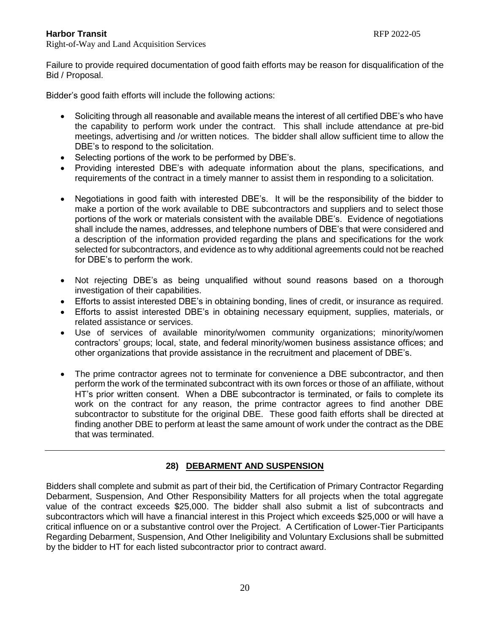Right-of-Way and Land Acquisition Services

Failure to provide required documentation of good faith efforts may be reason for disqualification of the Bid / Proposal.

Bidder's good faith efforts will include the following actions:

- Soliciting through all reasonable and available means the interest of all certified DBE's who have the capability to perform work under the contract. This shall include attendance at pre-bid meetings, advertising and /or written notices. The bidder shall allow sufficient time to allow the DBE's to respond to the solicitation.
- Selecting portions of the work to be performed by DBE's.
- Providing interested DBE's with adequate information about the plans, specifications, and requirements of the contract in a timely manner to assist them in responding to a solicitation.
- Negotiations in good faith with interested DBE's. It will be the responsibility of the bidder to make a portion of the work available to DBE subcontractors and suppliers and to select those portions of the work or materials consistent with the available DBE's. Evidence of negotiations shall include the names, addresses, and telephone numbers of DBE's that were considered and a description of the information provided regarding the plans and specifications for the work selected for subcontractors, and evidence as to why additional agreements could not be reached for DBE's to perform the work.
- Not rejecting DBE's as being unqualified without sound reasons based on a thorough investigation of their capabilities.
- Efforts to assist interested DBE's in obtaining bonding, lines of credit, or insurance as required.
- Efforts to assist interested DBE's in obtaining necessary equipment, supplies, materials, or related assistance or services.
- Use of services of available minority/women community organizations; minority/women contractors' groups; local, state, and federal minority/women business assistance offices; and other organizations that provide assistance in the recruitment and placement of DBE's.
- The prime contractor agrees not to terminate for convenience a DBE subcontractor, and then perform the work of the terminated subcontract with its own forces or those of an affiliate, without HT's prior written consent. When a DBE subcontractor is terminated, or fails to complete its work on the contract for any reason, the prime contractor agrees to find another DBE subcontractor to substitute for the original DBE. These good faith efforts shall be directed at finding another DBE to perform at least the same amount of work under the contract as the DBE that was terminated.

# **28) DEBARMENT AND SUSPENSION**

Bidders shall complete and submit as part of their bid, the Certification of Primary Contractor Regarding Debarment, Suspension, And Other Responsibility Matters for all projects when the total aggregate value of the contract exceeds \$25,000. The bidder shall also submit a list of subcontracts and subcontractors which will have a financial interest in this Project which exceeds \$25,000 or will have a critical influence on or a substantive control over the Project. A Certification of Lower-Tier Participants Regarding Debarment, Suspension, And Other Ineligibility and Voluntary Exclusions shall be submitted by the bidder to HT for each listed subcontractor prior to contract award.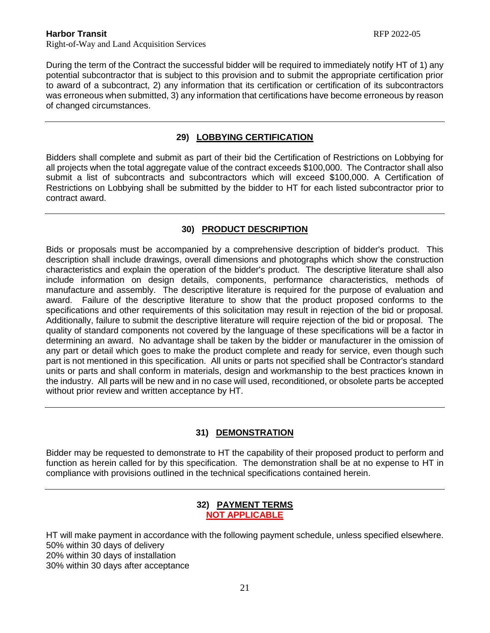During the term of the Contract the successful bidder will be required to immediately notify HT of 1) any potential subcontractor that is subject to this provision and to submit the appropriate certification prior to award of a subcontract, 2) any information that its certification or certification of its subcontractors was erroneous when submitted, 3) any information that certifications have become erroneous by reason of changed circumstances.

# **29) LOBBYING CERTIFICATION**

Bidders shall complete and submit as part of their bid the Certification of Restrictions on Lobbying for all projects when the total aggregate value of the contract exceeds \$100,000. The Contractor shall also submit a list of subcontracts and subcontractors which will exceed \$100,000. A Certification of Restrictions on Lobbying shall be submitted by the bidder to HT for each listed subcontractor prior to contract award.

# **30) PRODUCT DESCRIPTION**

Bids or proposals must be accompanied by a comprehensive description of bidder's product. This description shall include drawings, overall dimensions and photographs which show the construction characteristics and explain the operation of the bidder's product. The descriptive literature shall also include information on design details, components, performance characteristics, methods of manufacture and assembly. The descriptive literature is required for the purpose of evaluation and award. Failure of the descriptive literature to show that the product proposed conforms to the specifications and other requirements of this solicitation may result in rejection of the bid or proposal. Additionally, failure to submit the descriptive literature will require rejection of the bid or proposal. The quality of standard components not covered by the language of these specifications will be a factor in determining an award. No advantage shall be taken by the bidder or manufacturer in the omission of any part or detail which goes to make the product complete and ready for service, even though such part is not mentioned in this specification. All units or parts not specified shall be Contractor's standard units or parts and shall conform in materials, design and workmanship to the best practices known in the industry. All parts will be new and in no case will used, reconditioned, or obsolete parts be accepted without prior review and written acceptance by HT.

# **31) DEMONSTRATION**

Bidder may be requested to demonstrate to HT the capability of their proposed product to perform and function as herein called for by this specification. The demonstration shall be at no expense to HT in compliance with provisions outlined in the technical specifications contained herein.

### **32) PAYMENT TERMS NOT APPLICABLE**

HT will make payment in accordance with the following payment schedule, unless specified elsewhere. 50% within 30 days of delivery 20% within 30 days of installation 30% within 30 days after acceptance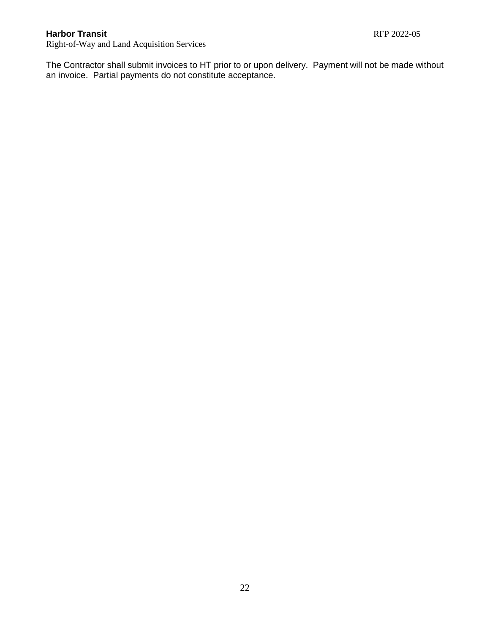Right-of-Way and Land Acquisition Services

The Contractor shall submit invoices to HT prior to or upon delivery. Payment will not be made without an invoice. Partial payments do not constitute acceptance.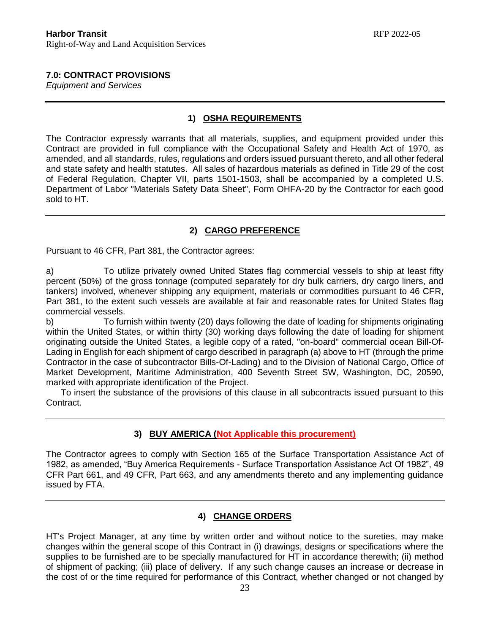# **7.0: CONTRACT PROVISIONS**

*Equipment and Services*

### **1) OSHA REQUIREMENTS**

The Contractor expressly warrants that all materials, supplies, and equipment provided under this Contract are provided in full compliance with the Occupational Safety and Health Act of 1970, as amended, and all standards, rules, regulations and orders issued pursuant thereto, and all other federal and state safety and health statutes. All sales of hazardous materials as defined in Title 29 of the cost of Federal Regulation, Chapter VII, parts 1501-1503, shall be accompanied by a completed U.S. Department of Labor "Materials Safety Data Sheet", Form OHFA-20 by the Contractor for each good sold to HT.

# **2) CARGO PREFERENCE**

Pursuant to 46 CFR, Part 381, the Contractor agrees:

a) To utilize privately owned United States flag commercial vessels to ship at least fifty percent (50%) of the gross tonnage (computed separately for dry bulk carriers, dry cargo liners, and tankers) involved, whenever shipping any equipment, materials or commodities pursuant to 46 CFR, Part 381, to the extent such vessels are available at fair and reasonable rates for United States flag commercial vessels.

b) To furnish within twenty (20) days following the date of loading for shipments originating within the United States, or within thirty (30) working days following the date of loading for shipment originating outside the United States, a legible copy of a rated, "on-board" commercial ocean Bill-Of-Lading in English for each shipment of cargo described in paragraph (a) above to HT (through the prime Contractor in the case of subcontractor Bills-Of-Lading) and to the Division of National Cargo, Office of Market Development, Maritime Administration, 400 Seventh Street SW, Washington, DC, 20590, marked with appropriate identification of the Project.

 To insert the substance of the provisions of this clause in all subcontracts issued pursuant to this Contract.

# **3) BUY AMERICA (Not Applicable this procurement)**

The Contractor agrees to comply with Section 165 of the Surface Transportation Assistance Act of 1982, as amended, "Buy America Requirements - Surface Transportation Assistance Act Of 1982", 49 CFR Part 661, and 49 CFR, Part 663, and any amendments thereto and any implementing guidance issued by FTA.

# **4) CHANGE ORDERS**

HT's Project Manager, at any time by written order and without notice to the sureties, may make changes within the general scope of this Contract in (i) drawings, designs or specifications where the supplies to be furnished are to be specially manufactured for HT in accordance therewith; (ii) method of shipment of packing; (iii) place of delivery. If any such change causes an increase or decrease in the cost of or the time required for performance of this Contract, whether changed or not changed by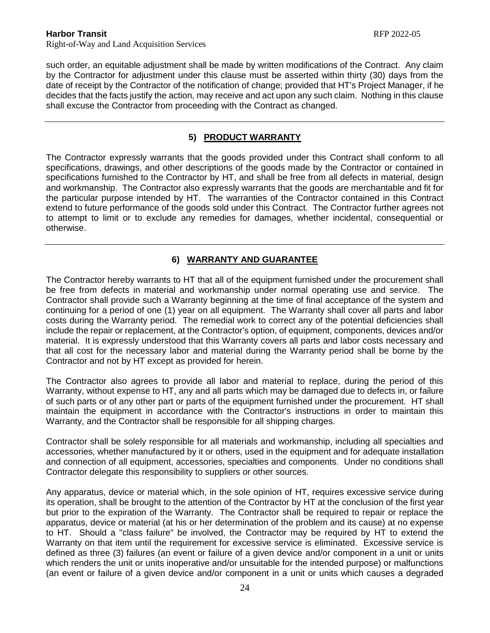such order, an equitable adjustment shall be made by written modifications of the Contract. Any claim by the Contractor for adjustment under this clause must be asserted within thirty (30) days from the date of receipt by the Contractor of the notification of change; provided that HT's Project Manager, if he decides that the facts justify the action, may receive and act upon any such claim. Nothing in this clause shall excuse the Contractor from proceeding with the Contract as changed.

# **5) PRODUCT WARRANTY**

The Contractor expressly warrants that the goods provided under this Contract shall conform to all specifications, drawings, and other descriptions of the goods made by the Contractor or contained in specifications furnished to the Contractor by HT, and shall be free from all defects in material, design and workmanship. The Contractor also expressly warrants that the goods are merchantable and fit for the particular purpose intended by HT. The warranties of the Contractor contained in this Contract extend to future performance of the goods sold under this Contract. The Contractor further agrees not to attempt to limit or to exclude any remedies for damages, whether incidental, consequential or otherwise.

# **6) WARRANTY AND GUARANTEE**

The Contractor hereby warrants to HT that all of the equipment furnished under the procurement shall be free from defects in material and workmanship under normal operating use and service. The Contractor shall provide such a Warranty beginning at the time of final acceptance of the system and continuing for a period of one (1) year on all equipment. The Warranty shall cover all parts and labor costs during the Warranty period. The remedial work to correct any of the potential deficiencies shall include the repair or replacement, at the Contractor's option, of equipment, components, devices and/or material. It is expressly understood that this Warranty covers all parts and labor costs necessary and that all cost for the necessary labor and material during the Warranty period shall be borne by the Contractor and not by HT except as provided for herein.

The Contractor also agrees to provide all labor and material to replace, during the period of this Warranty, without expense to HT, any and all parts which may be damaged due to defects in, or failure of such parts or of any other part or parts of the equipment furnished under the procurement. HT shall maintain the equipment in accordance with the Contractor's instructions in order to maintain this Warranty, and the Contractor shall be responsible for all shipping charges.

Contractor shall be solely responsible for all materials and workmanship, including all specialties and accessories, whether manufactured by it or others, used in the equipment and for adequate installation and connection of all equipment, accessories, specialties and components. Under no conditions shall Contractor delegate this responsibility to suppliers or other sources.

Any apparatus, device or material which, in the sole opinion of HT, requires excessive service during its operation, shall be brought to the attention of the Contractor by HT at the conclusion of the first year but prior to the expiration of the Warranty. The Contractor shall be required to repair or replace the apparatus, device or material (at his or her determination of the problem and its cause) at no expense to HT. Should a "class failure" be involved, the Contractor may be required by HT to extend the Warranty on that item until the requirement for excessive service is eliminated. Excessive service is defined as three (3) failures (an event or failure of a given device and/or component in a unit or units which renders the unit or units inoperative and/or unsuitable for the intended purpose) or malfunctions (an event or failure of a given device and/or component in a unit or units which causes a degraded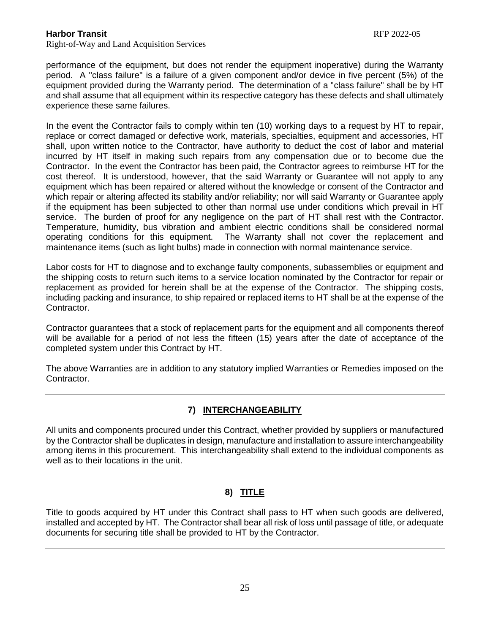performance of the equipment, but does not render the equipment inoperative) during the Warranty period. A "class failure" is a failure of a given component and/or device in five percent (5%) of the equipment provided during the Warranty period. The determination of a "class failure" shall be by HT and shall assume that all equipment within its respective category has these defects and shall ultimately experience these same failures.

In the event the Contractor fails to comply within ten (10) working days to a request by HT to repair, replace or correct damaged or defective work, materials, specialties, equipment and accessories, HT shall, upon written notice to the Contractor, have authority to deduct the cost of labor and material incurred by HT itself in making such repairs from any compensation due or to become due the Contractor. In the event the Contractor has been paid, the Contractor agrees to reimburse HT for the cost thereof. It is understood, however, that the said Warranty or Guarantee will not apply to any equipment which has been repaired or altered without the knowledge or consent of the Contractor and which repair or altering affected its stability and/or reliability; nor will said Warranty or Guarantee apply if the equipment has been subjected to other than normal use under conditions which prevail in HT service. The burden of proof for any negligence on the part of HT shall rest with the Contractor. Temperature, humidity, bus vibration and ambient electric conditions shall be considered normal operating conditions for this equipment. The Warranty shall not cover the replacement and maintenance items (such as light bulbs) made in connection with normal maintenance service.

Labor costs for HT to diagnose and to exchange faulty components, subassemblies or equipment and the shipping costs to return such items to a service location nominated by the Contractor for repair or replacement as provided for herein shall be at the expense of the Contractor. The shipping costs, including packing and insurance, to ship repaired or replaced items to HT shall be at the expense of the Contractor.

Contractor guarantees that a stock of replacement parts for the equipment and all components thereof will be available for a period of not less the fifteen (15) years after the date of acceptance of the completed system under this Contract by HT.

The above Warranties are in addition to any statutory implied Warranties or Remedies imposed on the Contractor.

# **7) INTERCHANGEABILITY**

All units and components procured under this Contract, whether provided by suppliers or manufactured by the Contractor shall be duplicates in design, manufacture and installation to assure interchangeability among items in this procurement. This interchangeability shall extend to the individual components as well as to their locations in the unit.

# **8) TITLE**

Title to goods acquired by HT under this Contract shall pass to HT when such goods are delivered, installed and accepted by HT. The Contractor shall bear all risk of loss until passage of title, or adequate documents for securing title shall be provided to HT by the Contractor.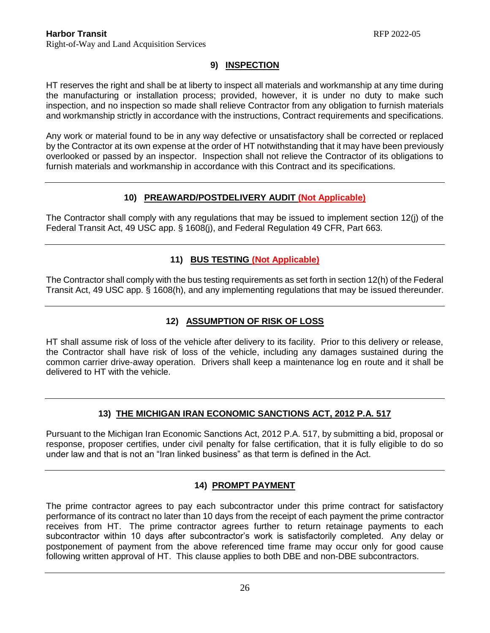# **9) INSPECTION**

HT reserves the right and shall be at liberty to inspect all materials and workmanship at any time during the manufacturing or installation process; provided, however, it is under no duty to make such inspection, and no inspection so made shall relieve Contractor from any obligation to furnish materials and workmanship strictly in accordance with the instructions, Contract requirements and specifications.

Any work or material found to be in any way defective or unsatisfactory shall be corrected or replaced by the Contractor at its own expense at the order of HT notwithstanding that it may have been previously overlooked or passed by an inspector. Inspection shall not relieve the Contractor of its obligations to furnish materials and workmanship in accordance with this Contract and its specifications.

# **10) PREAWARD/POSTDELIVERY AUDIT (Not Applicable)**

The Contractor shall comply with any regulations that may be issued to implement section 12(j) of the Federal Transit Act, 49 USC app. § 1608(j), and Federal Regulation 49 CFR, Part 663.

# **11) BUS TESTING (Not Applicable)**

The Contractor shall comply with the bus testing requirements as set forth in section 12(h) of the Federal Transit Act, 49 USC app. § 1608(h), and any implementing regulations that may be issued thereunder.

# **12) ASSUMPTION OF RISK OF LOSS**

HT shall assume risk of loss of the vehicle after delivery to its facility. Prior to this delivery or release, the Contractor shall have risk of loss of the vehicle, including any damages sustained during the common carrier drive-away operation. Drivers shall keep a maintenance log en route and it shall be delivered to HT with the vehicle.

# **13) THE MICHIGAN IRAN ECONOMIC SANCTIONS ACT, 2012 P.A. 517**

Pursuant to the Michigan Iran Economic Sanctions Act, 2012 P.A. 517, by submitting a bid, proposal or response, proposer certifies, under civil penalty for false certification, that it is fully eligible to do so under law and that is not an "Iran linked business" as that term is defined in the Act.

# **14) PROMPT PAYMENT**

The prime contractor agrees to pay each subcontractor under this prime contract for satisfactory performance of its contract no later than 10 days from the receipt of each payment the prime contractor receives from HT. The prime contractor agrees further to return retainage payments to each subcontractor within 10 days after subcontractor's work is satisfactorily completed. Any delay or postponement of payment from the above referenced time frame may occur only for good cause following written approval of HT. This clause applies to both DBE and non-DBE subcontractors.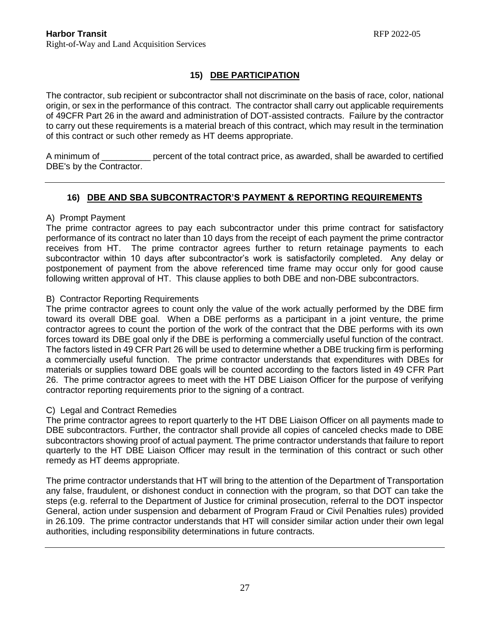# **15) DBE PARTICIPATION**

The contractor, sub recipient or subcontractor shall not discriminate on the basis of race, color, national origin, or sex in the performance of this contract. The contractor shall carry out applicable requirements of 49CFR Part 26 in the award and administration of DOT-assisted contracts. Failure by the contractor to carry out these requirements is a material breach of this contract, which may result in the termination of this contract or such other remedy as HT deems appropriate.

A minimum of \_\_\_\_\_\_\_\_\_\_ percent of the total contract price, as awarded, shall be awarded to certified DBE's by the Contractor.

# **16) DBE AND SBA SUBCONTRACTOR'S PAYMENT & REPORTING REQUIREMENTS**

### A) Prompt Payment

The prime contractor agrees to pay each subcontractor under this prime contract for satisfactory performance of its contract no later than 10 days from the receipt of each payment the prime contractor receives from HT. The prime contractor agrees further to return retainage payments to each subcontractor within 10 days after subcontractor's work is satisfactorily completed. Any delay or postponement of payment from the above referenced time frame may occur only for good cause following written approval of HT. This clause applies to both DBE and non-DBE subcontractors.

### B) Contractor Reporting Requirements

The prime contractor agrees to count only the value of the work actually performed by the DBE firm toward its overall DBE goal. When a DBE performs as a participant in a joint venture, the prime contractor agrees to count the portion of the work of the contract that the DBE performs with its own forces toward its DBE goal only if the DBE is performing a commercially useful function of the contract. The factors listed in 49 CFR Part 26 will be used to determine whether a DBE trucking firm is performing a commercially useful function. The prime contractor understands that expenditures with DBEs for materials or supplies toward DBE goals will be counted according to the factors listed in 49 CFR Part 26. The prime contractor agrees to meet with the HT DBE Liaison Officer for the purpose of verifying contractor reporting requirements prior to the signing of a contract.

# C) Legal and Contract Remedies

The prime contractor agrees to report quarterly to the HT DBE Liaison Officer on all payments made to DBE subcontractors. Further, the contractor shall provide all copies of canceled checks made to DBE subcontractors showing proof of actual payment. The prime contractor understands that failure to report quarterly to the HT DBE Liaison Officer may result in the termination of this contract or such other remedy as HT deems appropriate.

The prime contractor understands that HT will bring to the attention of the Department of Transportation any false, fraudulent, or dishonest conduct in connection with the program, so that DOT can take the steps (e.g. referral to the Department of Justice for criminal prosecution, referral to the DOT inspector General, action under suspension and debarment of Program Fraud or Civil Penalties rules) provided in 26.109. The prime contractor understands that HT will consider similar action under their own legal authorities, including responsibility determinations in future contracts.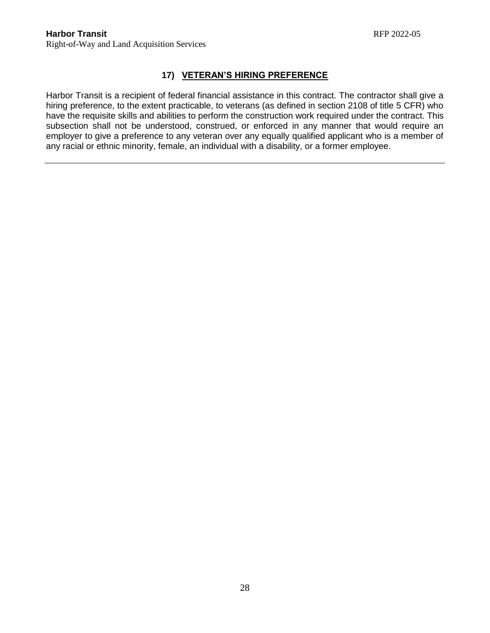# **17) VETERAN'S HIRING PREFERENCE**

Harbor Transit is a recipient of federal financial assistance in this contract. The contractor shall give a hiring preference, to the extent practicable, to veterans (as defined in section 2108 of title 5 CFR) who have the requisite skills and abilities to perform the construction work required under the contract. This subsection shall not be understood, construed, or enforced in any manner that would require an employer to give a preference to any veteran over any equally qualified applicant who is a member of any racial or ethnic minority, female, an individual with a disability, or a former employee.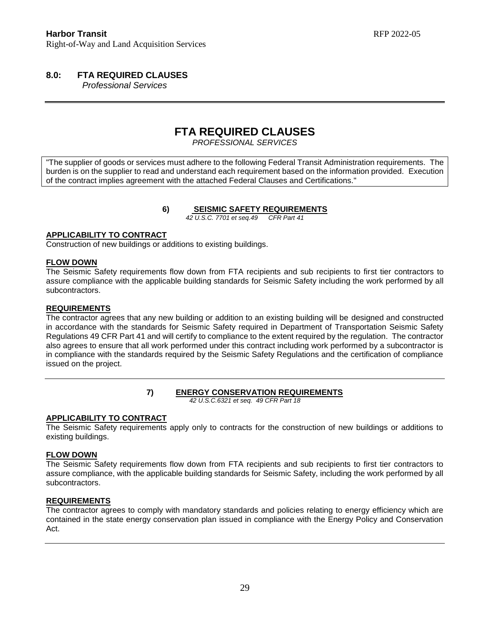# **8.0: FTA REQUIRED CLAUSES**

 *Professional Services*

# **FTA REQUIRED CLAUSES**

*PROFESSIONAL SERVICES*

"The supplier of goods or services must adhere to the following Federal Transit Administration requirements. The burden is on the supplier to read and understand each requirement based on the information provided. Execution of the contract implies agreement with the attached Federal Clauses and Certifications."

**6) SEISMIC SAFETY REQUIREMENTS**

*42 U.S.C. 7701 et seq.49 CFR Part 41*

### **APPLICABILITY TO CONTRACT**

Construction of new buildings or additions to existing buildings.

#### **FLOW DOWN**

The Seismic Safety requirements flow down from FTA recipients and sub recipients to first tier contractors to assure compliance with the applicable building standards for Seismic Safety including the work performed by all subcontractors.

#### **REQUIREMENTS**

The contractor agrees that any new building or addition to an existing building will be designed and constructed in accordance with the standards for Seismic Safety required in Department of Transportation Seismic Safety Regulations 49 CFR Part 41 and will certify to compliance to the extent required by the regulation. The contractor also agrees to ensure that all work performed under this contract including work performed by a subcontractor is in compliance with the standards required by the Seismic Safety Regulations and the certification of compliance issued on the project.

### **7) ENERGY CONSERVATION REQUIREMENTS**

*42 U.S.C.6321 et seq. 49 CFR Part 18*

### **APPLICABILITY TO CONTRACT**

The Seismic Safety requirements apply only to contracts for the construction of new buildings or additions to existing buildings.

#### **FLOW DOWN**

The Seismic Safety requirements flow down from FTA recipients and sub recipients to first tier contractors to assure compliance, with the applicable building standards for Seismic Safety, including the work performed by all subcontractors.

### **REQUIREMENTS**

The contractor agrees to comply with mandatory standards and policies relating to energy efficiency which are contained in the state energy conservation plan issued in compliance with the Energy Policy and Conservation Act.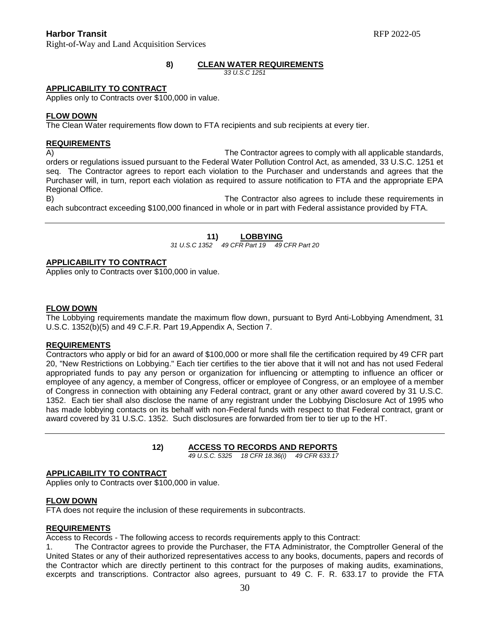Right-of-Way and Land Acquisition Services

#### **8) CLEAN WATER REQUIREMENTS**

*33 U.S.C 1251*

#### **APPLICABILITY TO CONTRACT**

Applies only to Contracts over \$100,000 in value.

#### **FLOW DOWN**

The Clean Water requirements flow down to FTA recipients and sub recipients at every tier.

#### **REQUIREMENTS**

A) The Contractor agrees to comply with all applicable standards, orders or regulations issued pursuant to the Federal Water Pollution Control Act, as amended, 33 U.S.C. 1251 et seq. The Contractor agrees to report each violation to the Purchaser and understands and agrees that the Purchaser will, in turn, report each violation as required to assure notification to FTA and the appropriate EPA Regional Office.

B) The Contractor also agrees to include these requirements in each subcontract exceeding \$100,000 financed in whole or in part with Federal assistance provided by FTA.

# **11) LOBBYING**

*31 U.S.C 1352 49 CFR Part 19 49 CFR Part 20*

#### **APPLICABILITY TO CONTRACT**

Applies only to Contracts over \$100,000 in value.

#### **FLOW DOWN**

The Lobbying requirements mandate the maximum flow down, pursuant to Byrd Anti-Lobbying Amendment, 31 U.S.C. 1352(b)(5) and 49 C.F.R. Part 19,Appendix A, Section 7.

#### **REQUIREMENTS**

Contractors who apply or bid for an award of \$100,000 or more shall file the certification required by 49 CFR part 20, "New Restrictions on Lobbying." Each tier certifies to the tier above that it will not and has not used Federal appropriated funds to pay any person or organization for influencing or attempting to influence an officer or employee of any agency, a member of Congress, officer or employee of Congress, or an employee of a member of Congress in connection with obtaining any Federal contract, grant or any other award covered by 31 U.S.C. 1352. Each tier shall also disclose the name of any registrant under the Lobbying Disclosure Act of 1995 who has made lobbying contacts on its behalf with non-Federal funds with respect to that Federal contract, grant or award covered by 31 U.S.C. 1352. Such disclosures are forwarded from tier to tier up to the HT.

#### **12) ACCESS TO RECORDS AND REPORTS**

 *49 U.S.C. 5325 18 CFR 18.36(i) 49 CFR 633.17*

#### **APPLICABILITY TO CONTRACT**

Applies only to Contracts over \$100,000 in value.

#### **FLOW DOWN**

FTA does not require the inclusion of these requirements in subcontracts.

#### **REQUIREMENTS**

Access to Records - The following access to records requirements apply to this Contract:

The Contractor agrees to provide the Purchaser, the FTA Administrator, the Comptroller General of the United States or any of their authorized representatives access to any books, documents, papers and records of the Contractor which are directly pertinent to this contract for the purposes of making audits, examinations, excerpts and transcriptions. Contractor also agrees, pursuant to 49 C. F. R. 633.17 to provide the FTA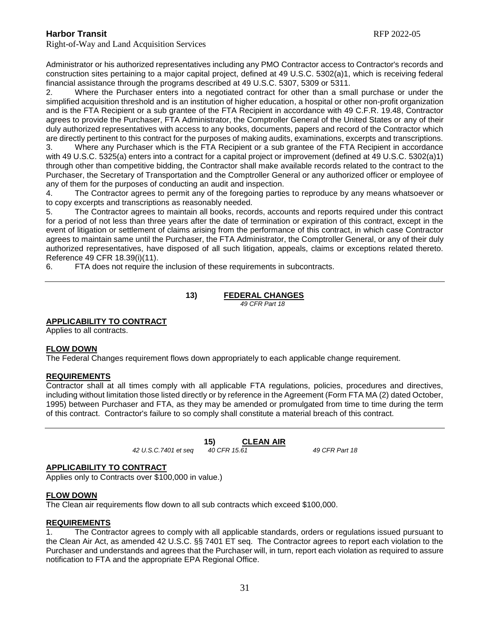Administrator or his authorized representatives including any PMO Contractor access to Contractor's records and construction sites pertaining to a major capital project, defined at 49 U.S.C. 5302(a)1, which is receiving federal financial assistance through the programs described at 49 U.S.C. 5307, 5309 or 5311.

2. Where the Purchaser enters into a negotiated contract for other than a small purchase or under the simplified acquisition threshold and is an institution of higher education, a hospital or other non-profit organization and is the FTA Recipient or a sub grantee of the FTA Recipient in accordance with 49 C.F.R. 19.48, Contractor agrees to provide the Purchaser, FTA Administrator, the Comptroller General of the United States or any of their duly authorized representatives with access to any books, documents, papers and record of the Contractor which are directly pertinent to this contract for the purposes of making audits, examinations, excerpts and transcriptions.

3. Where any Purchaser which is the FTA Recipient or a sub grantee of the FTA Recipient in accordance with 49 U.S.C. 5325(a) enters into a contract for a capital project or improvement (defined at 49 U.S.C. 5302(a)1) through other than competitive bidding, the Contractor shall make available records related to the contract to the Purchaser, the Secretary of Transportation and the Comptroller General or any authorized officer or employee of any of them for the purposes of conducting an audit and inspection.

4. The Contractor agrees to permit any of the foregoing parties to reproduce by any means whatsoever or to copy excerpts and transcriptions as reasonably needed.

5. The Contractor agrees to maintain all books, records, accounts and reports required under this contract for a period of not less than three years after the date of termination or expiration of this contract, except in the event of litigation or settlement of claims arising from the performance of this contract, in which case Contractor agrees to maintain same until the Purchaser, the FTA Administrator, the Comptroller General, or any of their duly authorized representatives, have disposed of all such litigation, appeals, claims or exceptions related thereto. Reference 49 CFR 18.39(i)(11).

6. FTA does not require the inclusion of these requirements in subcontracts.

**13) FEDERAL CHANGES**  *49 CFR Part 18*

### **APPLICABILITY TO CONTRACT**

Applies to all contracts.

### **FLOW DOWN**

The Federal Changes requirement flows down appropriately to each applicable change requirement.

#### **REQUIREMENTS**

Contractor shall at all times comply with all applicable FTA regulations, policies, procedures and directives, including without limitation those listed directly or by reference in the Agreement (Form FTA MA (2) dated October, 1995) between Purchaser and FTA, as they may be amended or promulgated from time to time during the term of this contract. Contractor's failure to so comply shall constitute a material breach of this contract.

**15) CLEAN AIR**<br>40 CFR 15.61

*42 U.S.C.7401 et seq 40 CFR 15.61 49 CFR Part 18*

#### **APPLICABILITY TO CONTRACT**

Applies only to Contracts over \$100,000 in value.)

#### **FLOW DOWN**

The Clean air requirements flow down to all sub contracts which exceed \$100,000.

#### **REQUIREMENTS**

1. The Contractor agrees to comply with all applicable standards, orders or regulations issued pursuant to the Clean Air Act, as amended 42 U.S.C. §§ 7401 ET seq. The Contractor agrees to report each violation to the Purchaser and understands and agrees that the Purchaser will, in turn, report each violation as required to assure notification to FTA and the appropriate EPA Regional Office.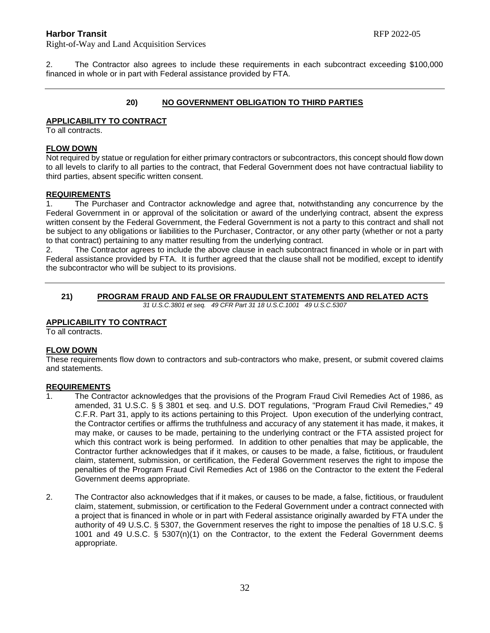Right-of-Way and Land Acquisition Services

2. The Contractor also agrees to include these requirements in each subcontract exceeding \$100,000 financed in whole or in part with Federal assistance provided by FTA.

#### **20) NO GOVERNMENT OBLIGATION TO THIRD PARTIES**

#### **APPLICABILITY TO CONTRACT**

To all contracts.

#### **FLOW DOWN**

Not required by statue or regulation for either primary contractors or subcontractors, this concept should flow down to all levels to clarify to all parties to the contract, that Federal Government does not have contractual liability to third parties, absent specific written consent.

#### **REQUIREMENTS**

1. The Purchaser and Contractor acknowledge and agree that, notwithstanding any concurrence by the Federal Government in or approval of the solicitation or award of the underlying contract, absent the express written consent by the Federal Government, the Federal Government is not a party to this contract and shall not be subject to any obligations or liabilities to the Purchaser, Contractor, or any other party (whether or not a party to that contract) pertaining to any matter resulting from the underlying contract.

2. The Contractor agrees to include the above clause in each subcontract financed in whole or in part with Federal assistance provided by FTA. It is further agreed that the clause shall not be modified, except to identify the subcontractor who will be subject to its provisions.

#### **21) PROGRAM FRAUD AND FALSE OR FRAUDULENT STATEMENTS AND RELATED ACTS** *31 U.S.C.3801 et seq. 49 CFR Part 31 18 U.S.C.1001 49 U.S.C.5307*

#### **APPLICABILITY TO CONTRACT**

To all contracts.

#### **FLOW DOWN**

These requirements flow down to contractors and sub-contractors who make, present, or submit covered claims and statements.

#### **REQUIREMENTS**

- 1. The Contractor acknowledges that the provisions of the Program Fraud Civil Remedies Act of 1986, as amended, 31 U.S.C. § § 3801 et seq. and U.S. DOT regulations, "Program Fraud Civil Remedies," 49 C.F.R. Part 31, apply to its actions pertaining to this Project. Upon execution of the underlying contract, the Contractor certifies or affirms the truthfulness and accuracy of any statement it has made, it makes, it may make, or causes to be made, pertaining to the underlying contract or the FTA assisted project for which this contract work is being performed. In addition to other penalties that may be applicable, the Contractor further acknowledges that if it makes, or causes to be made, a false, fictitious, or fraudulent claim, statement, submission, or certification, the Federal Government reserves the right to impose the penalties of the Program Fraud Civil Remedies Act of 1986 on the Contractor to the extent the Federal Government deems appropriate.
- 2. The Contractor also acknowledges that if it makes, or causes to be made, a false, fictitious, or fraudulent claim, statement, submission, or certification to the Federal Government under a contract connected with a project that is financed in whole or in part with Federal assistance originally awarded by FTA under the authority of 49 U.S.C. § 5307, the Government reserves the right to impose the penalties of 18 U.S.C. § 1001 and 49 U.S.C. § 5307(n)(1) on the Contractor, to the extent the Federal Government deems appropriate.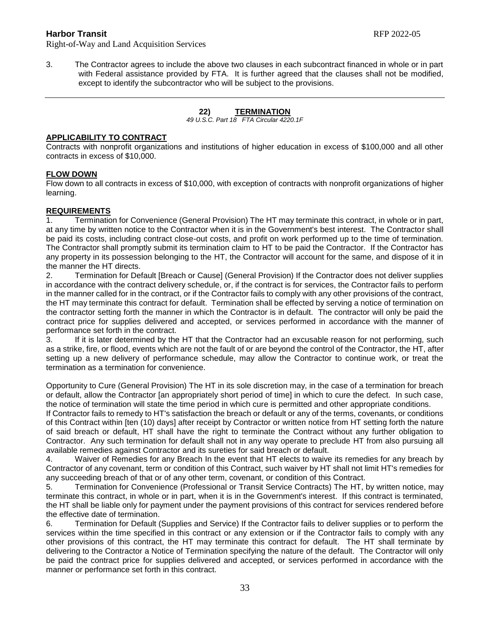3. The Contractor agrees to include the above two clauses in each subcontract financed in whole or in part with Federal assistance provided by FTA. It is further agreed that the clauses shall not be modified, except to identify the subcontractor who will be subject to the provisions.

# **22) TERMINATION**

*49 U.S.C. Part 18 FTA Circular 4220.1F*

#### **APPLICABILITY TO CONTRACT**

Contracts with nonprofit organizations and institutions of higher education in excess of \$100,000 and all other contracts in excess of \$10,000.

### **FLOW DOWN**

Flow down to all contracts in excess of \$10,000, with exception of contracts with nonprofit organizations of higher learning.

### **REQUIREMENTS**

1. Termination for Convenience (General Provision) The HT may terminate this contract, in whole or in part, at any time by written notice to the Contractor when it is in the Government's best interest. The Contractor shall be paid its costs, including contract close-out costs, and profit on work performed up to the time of termination. The Contractor shall promptly submit its termination claim to HT to be paid the Contractor. If the Contractor has any property in its possession belonging to the HT, the Contractor will account for the same, and dispose of it in the manner the HT directs.

2. Termination for Default [Breach or Cause] (General Provision) If the Contractor does not deliver supplies in accordance with the contract delivery schedule, or, if the contract is for services, the Contractor fails to perform in the manner called for in the contract, or if the Contractor fails to comply with any other provisions of the contract, the HT may terminate this contract for default. Termination shall be effected by serving a notice of termination on the contractor setting forth the manner in which the Contractor is in default. The contractor will only be paid the contract price for supplies delivered and accepted, or services performed in accordance with the manner of performance set forth in the contract.

3. If it is later determined by the HT that the Contractor had an excusable reason for not performing, such as a strike, fire, or flood, events which are not the fault of or are beyond the control of the Contractor, the HT, after setting up a new delivery of performance schedule, may allow the Contractor to continue work, or treat the termination as a termination for convenience.

Opportunity to Cure (General Provision) The HT in its sole discretion may, in the case of a termination for breach or default, allow the Contractor [an appropriately short period of time] in which to cure the defect. In such case, the notice of termination will state the time period in which cure is permitted and other appropriate conditions.

If Contractor fails to remedy to HT's satisfaction the breach or default or any of the terms, covenants, or conditions of this Contract within [ten (10) days] after receipt by Contractor or written notice from HT setting forth the nature of said breach or default, HT shall have the right to terminate the Contract without any further obligation to Contractor. Any such termination for default shall not in any way operate to preclude HT from also pursuing all available remedies against Contractor and its sureties for said breach or default.

4. Waiver of Remedies for any Breach In the event that HT elects to waive its remedies for any breach by Contractor of any covenant, term or condition of this Contract, such waiver by HT shall not limit HT's remedies for any succeeding breach of that or of any other term, covenant, or condition of this Contract.

5. Termination for Convenience (Professional or Transit Service Contracts) The HT, by written notice, may terminate this contract, in whole or in part, when it is in the Government's interest. If this contract is terminated, the HT shall be liable only for payment under the payment provisions of this contract for services rendered before the effective date of termination.

6. Termination for Default (Supplies and Service) If the Contractor fails to deliver supplies or to perform the services within the time specified in this contract or any extension or if the Contractor fails to comply with any other provisions of this contract, the HT may terminate this contract for default. The HT shall terminate by delivering to the Contractor a Notice of Termination specifying the nature of the default. The Contractor will only be paid the contract price for supplies delivered and accepted, or services performed in accordance with the manner or performance set forth in this contract.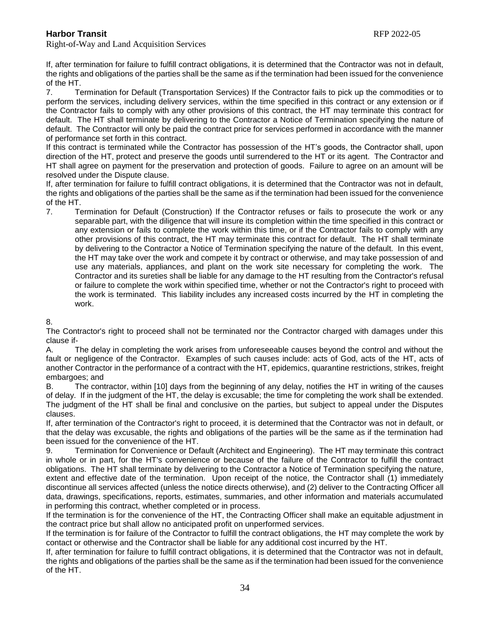If, after termination for failure to fulfill contract obligations, it is determined that the Contractor was not in default, the rights and obligations of the parties shall be the same as if the termination had been issued for the convenience of the HT.

7. Termination for Default (Transportation Services) If the Contractor fails to pick up the commodities or to perform the services, including delivery services, within the time specified in this contract or any extension or if the Contractor fails to comply with any other provisions of this contract, the HT may terminate this contract for default. The HT shall terminate by delivering to the Contractor a Notice of Termination specifying the nature of default. The Contractor will only be paid the contract price for services performed in accordance with the manner of performance set forth in this contract.

If this contract is terminated while the Contractor has possession of the HT's goods, the Contractor shall, upon direction of the HT, protect and preserve the goods until surrendered to the HT or its agent. The Contractor and HT shall agree on payment for the preservation and protection of goods. Failure to agree on an amount will be resolved under the Dispute clause.

If, after termination for failure to fulfill contract obligations, it is determined that the Contractor was not in default, the rights and obligations of the parties shall be the same as if the termination had been issued for the convenience of the HT.

7. Termination for Default (Construction) If the Contractor refuses or fails to prosecute the work or any separable part, with the diligence that will insure its completion within the time specified in this contract or any extension or fails to complete the work within this time, or if the Contractor fails to comply with any other provisions of this contract, the HT may terminate this contract for default. The HT shall terminate by delivering to the Contractor a Notice of Termination specifying the nature of the default. In this event, the HT may take over the work and compete it by contract or otherwise, and may take possession of and use any materials, appliances, and plant on the work site necessary for completing the work. The Contractor and its sureties shall be liable for any damage to the HT resulting from the Contractor's refusal or failure to complete the work within specified time, whether or not the Contractor's right to proceed with the work is terminated. This liability includes any increased costs incurred by the HT in completing the work.

### 8.

The Contractor's right to proceed shall not be terminated nor the Contractor charged with damages under this clause if-

A. The delay in completing the work arises from unforeseeable causes beyond the control and without the fault or negligence of the Contractor. Examples of such causes include: acts of God, acts of the HT, acts of another Contractor in the performance of a contract with the HT, epidemics, quarantine restrictions, strikes, freight embargoes; and

B. The contractor, within [10] days from the beginning of any delay, notifies the HT in writing of the causes of delay. If in the judgment of the HT, the delay is excusable; the time for completing the work shall be extended. The judgment of the HT shall be final and conclusive on the parties, but subject to appeal under the Disputes clauses.

If, after termination of the Contractor's right to proceed, it is determined that the Contractor was not in default, or that the delay was excusable, the rights and obligations of the parties will be the same as if the termination had been issued for the convenience of the HT.

9. Termination for Convenience or Default (Architect and Engineering). The HT may terminate this contract in whole or in part, for the HT's convenience or because of the failure of the Contractor to fulfill the contract obligations. The HT shall terminate by delivering to the Contractor a Notice of Termination specifying the nature, extent and effective date of the termination. Upon receipt of the notice, the Contractor shall (1) immediately discontinue all services affected (unless the notice directs otherwise), and (2) deliver to the Contracting Officer all data, drawings, specifications, reports, estimates, summaries, and other information and materials accumulated in performing this contract, whether completed or in process.

If the termination is for the convenience of the HT, the Contracting Officer shall make an equitable adjustment in the contract price but shall allow no anticipated profit on unperformed services.

If the termination is for failure of the Contractor to fulfill the contract obligations, the HT may complete the work by contact or otherwise and the Contractor shall be liable for any additional cost incurred by the HT.

If, after termination for failure to fulfill contract obligations, it is determined that the Contractor was not in default, the rights and obligations of the parties shall be the same as if the termination had been issued for the convenience of the HT.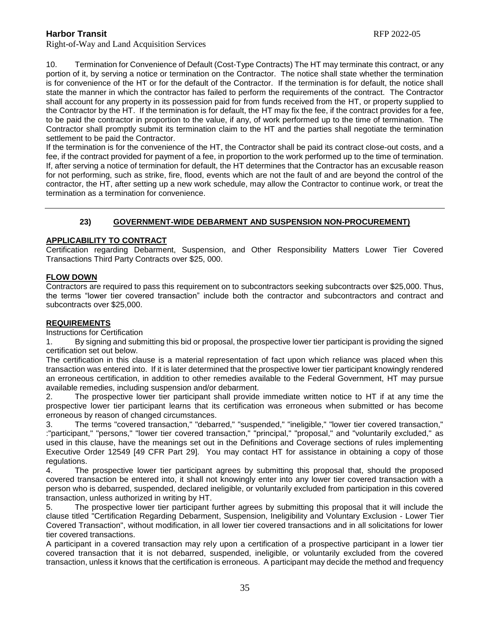10. Termination for Convenience of Default (Cost-Type Contracts) The HT may terminate this contract, or any portion of it, by serving a notice or termination on the Contractor. The notice shall state whether the termination is for convenience of the HT or for the default of the Contractor. If the termination is for default, the notice shall state the manner in which the contractor has failed to perform the requirements of the contract. The Contractor shall account for any property in its possession paid for from funds received from the HT, or property supplied to the Contractor by the HT. If the termination is for default, the HT may fix the fee, if the contract provides for a fee, to be paid the contractor in proportion to the value, if any, of work performed up to the time of termination. The Contractor shall promptly submit its termination claim to the HT and the parties shall negotiate the termination settlement to be paid the Contractor.

If the termination is for the convenience of the HT, the Contractor shall be paid its contract close-out costs, and a fee, if the contract provided for payment of a fee, in proportion to the work performed up to the time of termination. If, after serving a notice of termination for default, the HT determines that the Contractor has an excusable reason for not performing, such as strike, fire, flood, events which are not the fault of and are beyond the control of the contractor, the HT, after setting up a new work schedule, may allow the Contractor to continue work, or treat the termination as a termination for convenience.

# **23) GOVERNMENT-WIDE DEBARMENT AND SUSPENSION NON-PROCUREMENT)**

### **APPLICABILITY TO CONTRACT**

Certification regarding Debarment, Suspension, and Other Responsibility Matters Lower Tier Covered Transactions Third Party Contracts over \$25, 000.

### **FLOW DOWN**

Contractors are required to pass this requirement on to subcontractors seeking subcontracts over \$25,000. Thus, the terms "lower tier covered transaction" include both the contractor and subcontractors and contract and subcontracts over \$25,000.

#### **REQUIREMENTS**

Instructions for Certification

1. By signing and submitting this bid or proposal, the prospective lower tier participant is providing the signed certification set out below.

The certification in this clause is a material representation of fact upon which reliance was placed when this transaction was entered into. If it is later determined that the prospective lower tier participant knowingly rendered an erroneous certification, in addition to other remedies available to the Federal Government, HT may pursue available remedies, including suspension and/or debarment.

2. The prospective lower tier participant shall provide immediate written notice to HT if at any time the prospective lower tier participant learns that its certification was erroneous when submitted or has become erroneous by reason of changed circumstances.

3. The terms "covered transaction," "debarred," "suspended," "ineligible," "lower tier covered transaction," :"participant," "persons," "lower tier covered transaction," "principal," "proposal," and "voluntarily excluded," as used in this clause, have the meanings set out in the Definitions and Coverage sections of rules implementing Executive Order 12549 [49 CFR Part 29]. You may contact HT for assistance in obtaining a copy of those regulations.

4. The prospective lower tier participant agrees by submitting this proposal that, should the proposed covered transaction be entered into, it shall not knowingly enter into any lower tier covered transaction with a person who is debarred, suspended, declared ineligible, or voluntarily excluded from participation in this covered transaction, unless authorized in writing by HT.

5. The prospective lower tier participant further agrees by submitting this proposal that it will include the clause titled "Certification Regarding Debarment, Suspension, Ineligibility and Voluntary Exclusion - Lower Tier Covered Transaction", without modification, in all lower tier covered transactions and in all solicitations for lower tier covered transactions.

A participant in a covered transaction may rely upon a certification of a prospective participant in a lower tier covered transaction that it is not debarred, suspended, ineligible, or voluntarily excluded from the covered transaction, unless it knows that the certification is erroneous. A participant may decide the method and frequency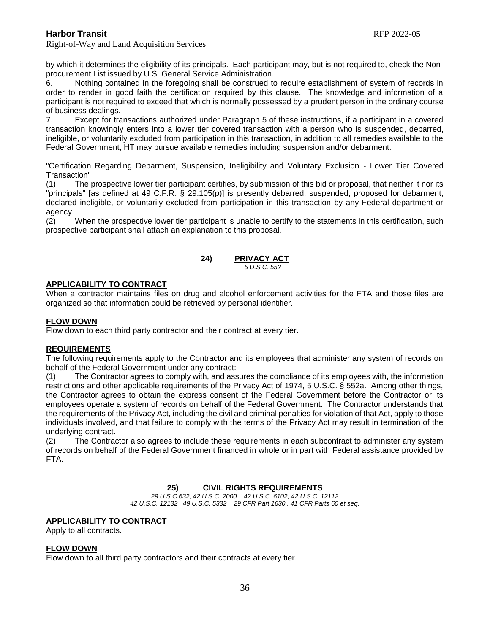Right-of-Way and Land Acquisition Services

by which it determines the eligibility of its principals. Each participant may, but is not required to, check the Nonprocurement List issued by U.S. General Service Administration.

6. Nothing contained in the foregoing shall be construed to require establishment of system of records in order to render in good faith the certification required by this clause. The knowledge and information of a participant is not required to exceed that which is normally possessed by a prudent person in the ordinary course of business dealings.

7. Except for transactions authorized under Paragraph 5 of these instructions, if a participant in a covered transaction knowingly enters into a lower tier covered transaction with a person who is suspended, debarred, ineligible, or voluntarily excluded from participation in this transaction, in addition to all remedies available to the Federal Government, HT may pursue available remedies including suspension and/or debarment.

"Certification Regarding Debarment, Suspension, Ineligibility and Voluntary Exclusion - Lower Tier Covered Transaction"

(1) The prospective lower tier participant certifies, by submission of this bid or proposal, that neither it nor its "principals" [as defined at 49 C.F.R. § 29.105(p)] is presently debarred, suspended, proposed for debarment, declared ineligible, or voluntarily excluded from participation in this transaction by any Federal department or agency.

(2) When the prospective lower tier participant is unable to certify to the statements in this certification, such prospective participant shall attach an explanation to this proposal.

#### **24) PRIVACY ACT**  *5 U.S.C. 552*

#### **APPLICABILITY TO CONTRACT**

When a contractor maintains files on drug and alcohol enforcement activities for the FTA and those files are organized so that information could be retrieved by personal identifier.

#### **FLOW DOWN**

Flow down to each third party contractor and their contract at every tier.

#### **REQUIREMENTS**

The following requirements apply to the Contractor and its employees that administer any system of records on behalf of the Federal Government under any contract:

(1) The Contractor agrees to comply with, and assures the compliance of its employees with, the information restrictions and other applicable requirements of the Privacy Act of 1974, 5 U.S.C. § 552a. Among other things, the Contractor agrees to obtain the express consent of the Federal Government before the Contractor or its employees operate a system of records on behalf of the Federal Government. The Contractor understands that the requirements of the Privacy Act, including the civil and criminal penalties for violation of that Act, apply to those individuals involved, and that failure to comply with the terms of the Privacy Act may result in termination of the underlying contract.

(2) The Contractor also agrees to include these requirements in each subcontract to administer any system of records on behalf of the Federal Government financed in whole or in part with Federal assistance provided by FTA.

### **25) CIVIL RIGHTS REQUIREMENTS**

*29 U.S.C 632, 42 U.S.C. 2000 42 U.S.C. 6102, 42 U.S.C. 12112 42 U.S.C. 12132 , 49 U.S.C. 5332 29 CFR Part 1630 , 41 CFR Parts 60 et seq.*

#### **APPLICABILITY TO CONTRACT**

Apply to all contracts.

#### **FLOW DOWN**

Flow down to all third party contractors and their contracts at every tier.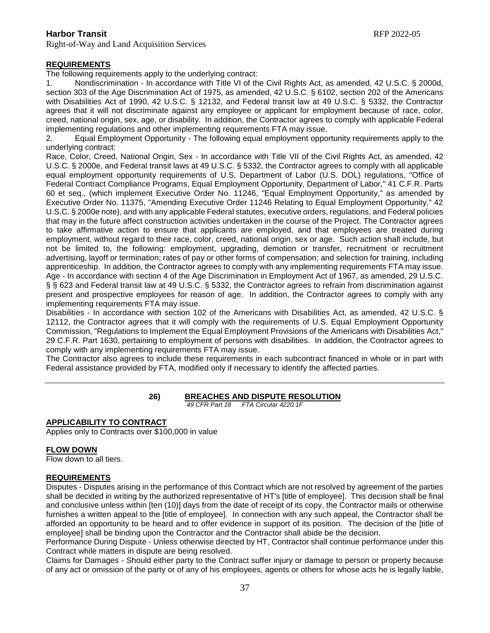### **REQUIREMENTS**

The following requirements apply to the underlying contract:

1. Nondiscrimination - In accordance with Title VI of the Civil Rights Act, as amended, 42 U.S.C. § 2000d, section 303 of the Age Discrimination Act of 1975, as amended, 42 U.S.C. § 6102, section 202 of the Americans with Disabilities Act of 1990, 42 U.S.C. § 12132, and Federal transit law at 49 U.S.C. § 5332, the Contractor agrees that it will not discriminate against any employee or applicant for employment because of race, color, creed, national origin, sex, age, or disability. In addition, the Contractor agrees to comply with applicable Federal implementing regulations and other implementing requirements FTA may issue.

2. Equal Employment Opportunity - The following equal employment opportunity requirements apply to the underlying contract:

Race, Color, Creed, National Origin, Sex - In accordance with Title VII of the Civil Rights Act, as amended, 42 U.S.C. § 2000e, and Federal transit laws at 49 U.S.C. § 5332, the Contractor agrees to comply with all applicable equal employment opportunity requirements of U.S. Department of Labor (U.S. DOL) regulations, "Office of Federal Contract Compliance Programs, Equal Employment Opportunity, Department of Labor," 41 C.F.R. Parts 60 et seq., (which implement Executive Order No. 11246, "Equal Employment Opportunity," as amended by Executive Order No. 11375, "Amending Executive Order 11246 Relating to Equal Employment Opportunity," 42 U.S.C. § 2000e note), and with any applicable Federal statutes, executive orders, regulations, and Federal policies that may in the future affect construction activities undertaken in the course of the Project. The Contractor agrees to take affirmative action to ensure that applicants are employed, and that employees are treated during employment, without regard to their race, color, creed, national origin, sex or age. Such action shall include, but not be limited to, the following: employment, upgrading, demotion or transfer, recruitment or recruitment advertising, layoff or termination; rates of pay or other forms of compensation; and selection for training, including apprenticeship. In addition, the Contractor agrees to comply with any implementing requirements FTA may issue. Age - In accordance with section 4 of the Age Discrimination in Employment Act of 1967, as amended, 29 U.S.C. § § 623 and Federal transit law at 49 U.S.C. § 5332, the Contractor agrees to refrain from discrimination against present and prospective employees for reason of age. In addition, the Contractor agrees to comply with any implementing requirements FTA may issue.

Disabilities - In accordance with section 102 of the Americans with Disabilities Act, as amended, 42 U.S.C. § 12112, the Contractor agrees that it will comply with the requirements of U.S. Equal Employment Opportunity Commission, "Regulations to Implement the Equal Employment Provisions of the Americans with Disabilities Act," 29 C.F.R. Part 1630, pertaining to employment of persons with disabilities. In addition, the Contractor agrees to comply with any implementing requirements FTA may issue.

The Contractor also agrees to include these requirements in each subcontract financed in whole or in part with Federal assistance provided by FTA, modified only if necessary to identify the affected parties.

> **26) BREACHES AND DISPUTE RESOLUTION** *49 CFR Part 18 FTA Circular 4220.1F*

### **APPLICABILITY TO CONTRACT**

Applies only to Contracts over \$100,000 in value

#### **FLOW DOWN**

Flow down to all tiers.

#### **REQUIREMENTS**

Disputes - Disputes arising in the performance of this Contract which are not resolved by agreement of the parties shall be decided in writing by the authorized representative of HT's [title of employee]. This decision shall be final and conclusive unless within [ten (10)] days from the date of receipt of its copy, the Contractor mails or otherwise furnishes a written appeal to the [title of employee]. In connection with any such appeal, the Contractor shall be afforded an opportunity to be heard and to offer evidence in support of its position. The decision of the [title of employee] shall be binding upon the Contractor and the Contractor shall abide be the decision.

Performance During Dispute - Unless otherwise directed by HT, Contractor shall continue performance under this Contract while matters in dispute are being resolved.

Claims for Damages - Should either party to the Contract suffer injury or damage to person or property because of any act or omission of the party or of any of his employees, agents or others for whose acts he is legally liable,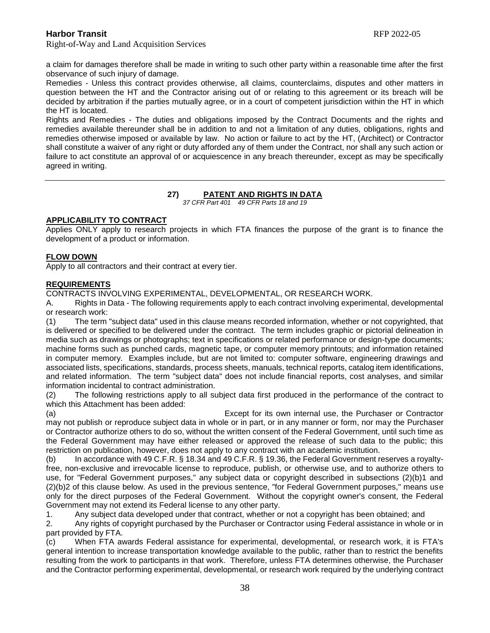Right-of-Way and Land Acquisition Services

a claim for damages therefore shall be made in writing to such other party within a reasonable time after the first observance of such injury of damage.

Remedies - Unless this contract provides otherwise, all claims, counterclaims, disputes and other matters in question between the HT and the Contractor arising out of or relating to this agreement or its breach will be decided by arbitration if the parties mutually agree, or in a court of competent jurisdiction within the HT in which the HT is located.

Rights and Remedies - The duties and obligations imposed by the Contract Documents and the rights and remedies available thereunder shall be in addition to and not a limitation of any duties, obligations, rights and remedies otherwise imposed or available by law. No action or failure to act by the HT, (Architect) or Contractor shall constitute a waiver of any right or duty afforded any of them under the Contract, nor shall any such action or failure to act constitute an approval of or acquiescence in any breach thereunder, except as may be specifically agreed in writing.

# **27) PATENT AND RIGHTS IN DATA**

*37 CFR Part 401 49 CFR Parts 18 and 19*

### **APPLICABILITY TO CONTRACT**

Applies ONLY apply to research projects in which FTA finances the purpose of the grant is to finance the development of a product or information.

### **FLOW DOWN**

Apply to all contractors and their contract at every tier.

#### **REQUIREMENTS**

CONTRACTS INVOLVING EXPERIMENTAL, DEVELOPMENTAL, OR RESEARCH WORK.

A. Rights in Data - The following requirements apply to each contract involving experimental, developmental or research work:

(1) The term "subject data" used in this clause means recorded information, whether or not copyrighted, that is delivered or specified to be delivered under the contract. The term includes graphic or pictorial delineation in media such as drawings or photographs; text in specifications or related performance or design-type documents; machine forms such as punched cards, magnetic tape, or computer memory printouts; and information retained in computer memory. Examples include, but are not limited to: computer software, engineering drawings and associated lists, specifications, standards, process sheets, manuals, technical reports, catalog item identifications, and related information. The term "subject data" does not include financial reports, cost analyses, and similar information incidental to contract administration.

(2) The following restrictions apply to all subject data first produced in the performance of the contract to which this Attachment has been added:

(a) Except for its own internal use, the Purchaser or Contractor may not publish or reproduce subject data in whole or in part, or in any manner or form, nor may the Purchaser or Contractor authorize others to do so, without the written consent of the Federal Government, until such time as the Federal Government may have either released or approved the release of such data to the public; this restriction on publication, however, does not apply to any contract with an academic institution.

(b) In accordance with 49 C.F.R. § 18.34 and 49 C.F.R. § 19.36, the Federal Government reserves a royaltyfree, non-exclusive and irrevocable license to reproduce, publish, or otherwise use, and to authorize others to use, for "Federal Government purposes," any subject data or copyright described in subsections (2)(b)1 and (2)(b)2 of this clause below. As used in the previous sentence, "for Federal Government purposes," means use only for the direct purposes of the Federal Government. Without the copyright owner's consent, the Federal Government may not extend its Federal license to any other party.

1. Any subject data developed under that contract, whether or not a copyright has been obtained; and

2. Any rights of copyright purchased by the Purchaser or Contractor using Federal assistance in whole or in part provided by FTA.

(c) When FTA awards Federal assistance for experimental, developmental, or research work, it is FTA's general intention to increase transportation knowledge available to the public, rather than to restrict the benefits resulting from the work to participants in that work. Therefore, unless FTA determines otherwise, the Purchaser and the Contractor performing experimental, developmental, or research work required by the underlying contract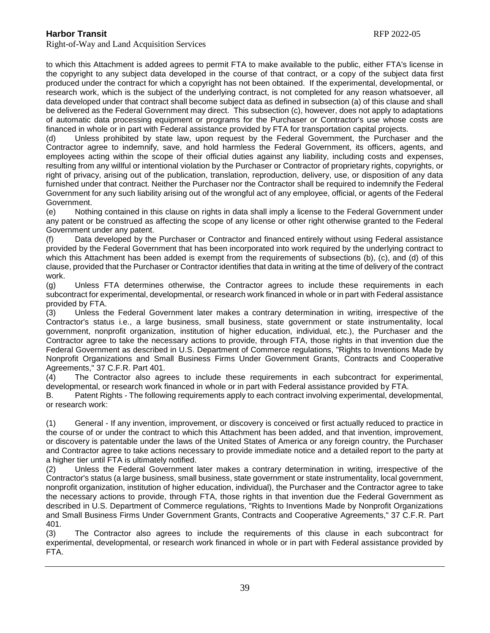Right-of-Way and Land Acquisition Services

to which this Attachment is added agrees to permit FTA to make available to the public, either FTA's license in the copyright to any subject data developed in the course of that contract, or a copy of the subject data first produced under the contract for which a copyright has not been obtained. If the experimental, developmental, or research work, which is the subject of the underlying contract, is not completed for any reason whatsoever, all data developed under that contract shall become subject data as defined in subsection (a) of this clause and shall be delivered as the Federal Government may direct. This subsection (c), however, does not apply to adaptations of automatic data processing equipment or programs for the Purchaser or Contractor's use whose costs are financed in whole or in part with Federal assistance provided by FTA for transportation capital projects.

(d) Unless prohibited by state law, upon request by the Federal Government, the Purchaser and the Contractor agree to indemnify, save, and hold harmless the Federal Government, its officers, agents, and employees acting within the scope of their official duties against any liability, including costs and expenses, resulting from any willful or intentional violation by the Purchaser or Contractor of proprietary rights, copyrights, or right of privacy, arising out of the publication, translation, reproduction, delivery, use, or disposition of any data furnished under that contract. Neither the Purchaser nor the Contractor shall be required to indemnify the Federal Government for any such liability arising out of the wrongful act of any employee, official, or agents of the Federal Government.

(e) Nothing contained in this clause on rights in data shall imply a license to the Federal Government under any patent or be construed as affecting the scope of any license or other right otherwise granted to the Federal Government under any patent.

(f) Data developed by the Purchaser or Contractor and financed entirely without using Federal assistance provided by the Federal Government that has been incorporated into work required by the underlying contract to which this Attachment has been added is exempt from the requirements of subsections (b), (c), and (d) of this clause, provided that the Purchaser or Contractor identifies that data in writing at the time of delivery of the contract work.

(g) Unless FTA determines otherwise, the Contractor agrees to include these requirements in each subcontract for experimental, developmental, or research work financed in whole or in part with Federal assistance provided by FTA.

(3) Unless the Federal Government later makes a contrary determination in writing, irrespective of the Contractor's status i.e., a large business, small business, state government or state instrumentality, local government, nonprofit organization, institution of higher education, individual, etc.), the Purchaser and the Contractor agree to take the necessary actions to provide, through FTA, those rights in that invention due the Federal Government as described in U.S. Department of Commerce regulations, "Rights to Inventions Made by Nonprofit Organizations and Small Business Firms Under Government Grants, Contracts and Cooperative Agreements," 37 C.F.R. Part 401.

(4) The Contractor also agrees to include these requirements in each subcontract for experimental, developmental, or research work financed in whole or in part with Federal assistance provided by FTA.

B. Patent Rights - The following requirements apply to each contract involving experimental, developmental, or research work:

(1) General - If any invention, improvement, or discovery is conceived or first actually reduced to practice in the course of or under the contract to which this Attachment has been added, and that invention, improvement, or discovery is patentable under the laws of the United States of America or any foreign country, the Purchaser and Contractor agree to take actions necessary to provide immediate notice and a detailed report to the party at a higher tier until FTA is ultimately notified.

(2) Unless the Federal Government later makes a contrary determination in writing, irrespective of the Contractor's status (a large business, small business, state government or state instrumentality, local government, nonprofit organization, institution of higher education, individual), the Purchaser and the Contractor agree to take the necessary actions to provide, through FTA, those rights in that invention due the Federal Government as described in U.S. Department of Commerce regulations, "Rights to Inventions Made by Nonprofit Organizations and Small Business Firms Under Government Grants, Contracts and Cooperative Agreements," 37 C.F.R. Part 401.

(3) The Contractor also agrees to include the requirements of this clause in each subcontract for experimental, developmental, or research work financed in whole or in part with Federal assistance provided by FTA.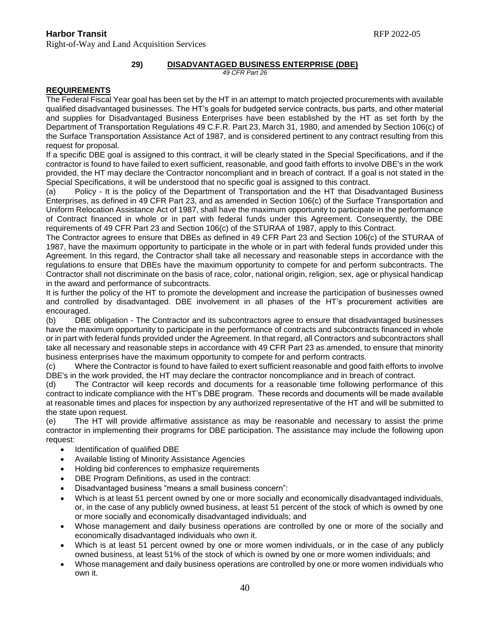### **Harbor Transit** RFP 2022-05 Right-of-Way and Land Acquisition Services

# **29) DISADVANTAGED BUSINESS ENTERPRISE (DBE)**

*49 CFR Part 26*

### **REQUIREMENTS**

The Federal Fiscal Year goal has been set by the HT in an attempt to match projected procurements with available qualified disadvantaged businesses. The HT's goals for budgeted service contracts, bus parts, and other material and supplies for Disadvantaged Business Enterprises have been established by the HT as set forth by the Department of Transportation Regulations 49 C.F.R. Part 23, March 31, 1980, and amended by Section 106(c) of the Surface Transportation Assistance Act of 1987, and is considered pertinent to any contract resulting from this request for proposal.

If a specific DBE goal is assigned to this contract, it will be clearly stated in the Special Specifications, and if the contractor is found to have failed to exert sufficient, reasonable, and good faith efforts to involve DBE's in the work provided, the HT may declare the Contractor noncompliant and in breach of contract. If a goal is not stated in the Special Specifications, it will be understood that no specific goal is assigned to this contract.

(a) Policy - It is the policy of the Department of Transportation and the HT that Disadvantaged Business Enterprises, as defined in 49 CFR Part 23, and as amended in Section 106(c) of the Surface Transportation and Uniform Relocation Assistance Act of 1987, shall have the maximum opportunity to participate in the performance of Contract financed in whole or in part with federal funds under this Agreement. Consequently, the DBE requirements of 49 CFR Part 23 and Section 106(c) of the STURAA of 1987, apply to this Contract.

The Contractor agrees to ensure that DBEs as defined in 49 CFR Part 23 and Section 106(c) of the STURAA of 1987, have the maximum opportunity to participate in the whole or in part with federal funds provided under this Agreement. In this regard, the Contractor shall take all necessary and reasonable steps in accordance with the regulations to ensure that DBEs have the maximum opportunity to compete for and perform subcontracts. The Contractor shall not discriminate on the basis of race, color, national origin, religion, sex, age or physical handicap in the award and performance of subcontracts.

It is further the policy of the HT to promote the development and increase the participation of businesses owned and controlled by disadvantaged. DBE involvement in all phases of the HT's procurement activities are encouraged.

(b) DBE obligation - The Contractor and its subcontractors agree to ensure that disadvantaged businesses have the maximum opportunity to participate in the performance of contracts and subcontracts financed in whole or in part with federal funds provided under the Agreement. In that regard, all Contractors and subcontractors shall take all necessary and reasonable steps in accordance with 49 CFR Part 23 as amended, to ensure that minority business enterprises have the maximum opportunity to compete for and perform contracts.

(c) Where the Contractor is found to have failed to exert sufficient reasonable and good faith efforts to involve DBE's in the work provided, the HT may declare the contractor noncompliance and in breach of contract.

(d) The Contractor will keep records and documents for a reasonable time following performance of this contract to indicate compliance with the HT's DBE program. These records and documents will be made available at reasonable times and places for inspection by any authorized representative of the HT and will be submitted to the state upon request.

(e) The HT will provide affirmative assistance as may be reasonable and necessary to assist the prime contractor in implementing their programs for DBE participation. The assistance may include the following upon request:

- Identification of qualified DBE
- Available listing of Minority Assistance Agencies
- Holding bid conferences to emphasize requirements
- DBE Program Definitions, as used in the contract:
- Disadvantaged business "means a small business concern":
- Which is at least 51 percent owned by one or more socially and economically disadvantaged individuals, or, in the case of any publicly owned business, at least 51 percent of the stock of which is owned by one or more socially and economically disadvantaged individuals; and
- Whose management and daily business operations are controlled by one or more of the socially and economically disadvantaged individuals who own it.
- Which is at least 51 percent owned by one or more women individuals, or in the case of any publicly owned business, at least 51% of the stock of which is owned by one or more women individuals; and
- Whose management and daily business operations are controlled by one or more women individuals who own it.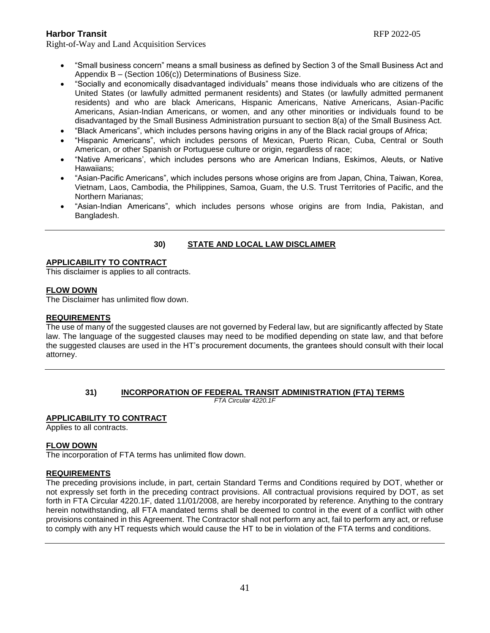Right-of-Way and Land Acquisition Services

- "Small business concern" means a small business as defined by Section 3 of the Small Business Act and Appendix B – (Section 106(c)) Determinations of Business Size.
- "Socially and economically disadvantaged individuals" means those individuals who are citizens of the United States (or lawfully admitted permanent residents) and States (or lawfully admitted permanent residents) and who are black Americans, Hispanic Americans, Native Americans, Asian-Pacific Americans, Asian-Indian Americans, or women, and any other minorities or individuals found to be disadvantaged by the Small Business Administration pursuant to section 8(a) of the Small Business Act.
- "Black Americans", which includes persons having origins in any of the Black racial groups of Africa;
- "Hispanic Americans", which includes persons of Mexican, Puerto Rican, Cuba, Central or South American, or other Spanish or Portuguese culture or origin, regardless of race;
- "Native Americans', which includes persons who are American Indians, Eskimos, Aleuts, or Native Hawaiians;
- "Asian-Pacific Americans", which includes persons whose origins are from Japan, China, Taiwan, Korea, Vietnam, Laos, Cambodia, the Philippines, Samoa, Guam, the U.S. Trust Territories of Pacific, and the Northern Marianas;
- "Asian-Indian Americans", which includes persons whose origins are from India, Pakistan, and Bangladesh.

### **30) STATE AND LOCAL LAW DISCLAIMER**

#### **APPLICABILITY TO CONTRACT**

This disclaimer is applies to all contracts.

#### **FLOW DOWN**

The Disclaimer has unlimited flow down.

#### **REQUIREMENTS**

The use of many of the suggested clauses are not governed by Federal law, but are significantly affected by State law. The language of the suggested clauses may need to be modified depending on state law, and that before the suggested clauses are used in the HT's procurement documents, the grantees should consult with their local attorney.

#### **31) INCORPORATION OF FEDERAL TRANSIT ADMINISTRATION (FTA) TERMS**

*FTA Circular 4220.1F*

#### **APPLICABILITY TO CONTRACT**

Applies to all contracts.

### **FLOW DOWN**

The incorporation of FTA terms has unlimited flow down.

#### **REQUIREMENTS**

The preceding provisions include, in part, certain Standard Terms and Conditions required by DOT, whether or not expressly set forth in the preceding contract provisions. All contractual provisions required by DOT, as set forth in FTA Circular 4220.1F, dated 11/01/2008, are hereby incorporated by reference. Anything to the contrary herein notwithstanding, all FTA mandated terms shall be deemed to control in the event of a conflict with other provisions contained in this Agreement. The Contractor shall not perform any act, fail to perform any act, or refuse to comply with any HT requests which would cause the HT to be in violation of the FTA terms and conditions.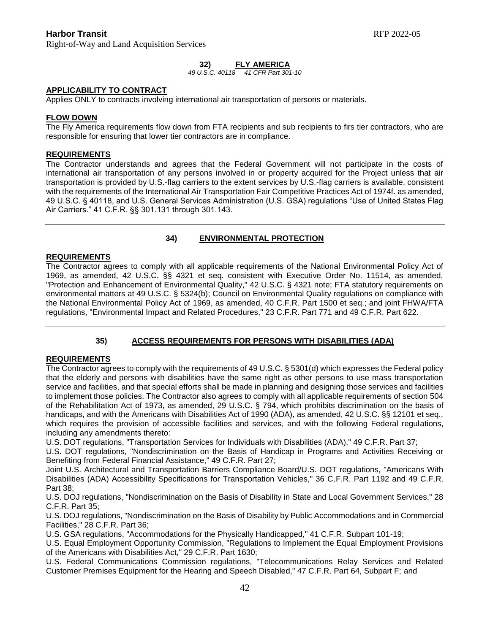Right-of-Way and Land Acquisition Services

### **32) FLY AMERICA**

#### *49 U.S.C. 40118 41 CFR Part 301-10*

#### **APPLICABILITY TO CONTRACT**

Applies ONLY to contracts involving international air transportation of persons or materials.

#### **FLOW DOWN**

The Fly America requirements flow down from FTA recipients and sub recipients to firs tier contractors, who are responsible for ensuring that lower tier contractors are in compliance.

#### **REQUIREMENTS**

The Contractor understands and agrees that the Federal Government will not participate in the costs of international air transportation of any persons involved in or property acquired for the Project unless that air transportation is provided by U.S.-flag carriers to the extent services by U.S.-flag carriers is available, consistent with the requirements of the International Air Transportation Fair Competitive Practices Act of 1974f. as amended, 49 U.S.C. § 40118, and U.S. General Services Administration (U.S. GSA) regulations "Use of United States Flag Air Carriers." 41 C.F.R. §§ 301.131 through 301.143.

#### **34) ENVIRONMENTAL PROTECTION**

#### **REQUIREMENTS**

The Contractor agrees to comply with all applicable requirements of the National Environmental Policy Act of 1969, as amended, 42 U.S.C. §§ 4321 et seq. consistent with Executive Order No. 11514, as amended, "Protection and Enhancement of Environmental Quality," 42 U.S.C. § 4321 note; FTA statutory requirements on environmental matters at 49 U.S.C. § 5324(b); Council on Environmental Quality regulations on compliance with the National Environmental Policy Act of 1969, as amended, 40 C.F.R. Part 1500 et seq.; and joint FHWA/FTA regulations, "Environmental Impact and Related Procedures," 23 C.F.R. Part 771 and 49 C.F.R. Part 622.

# **35) ACCESS REQUIREMENTS FOR PERSONS WITH DISABILITIES (ADA)**

#### **REQUIREMENTS**

The Contractor agrees to comply with the requirements of 49 U.S.C. § 5301(d) which expresses the Federal policy that the elderly and persons with disabilities have the same right as other persons to use mass transportation service and facilities, and that special efforts shall be made in planning and designing those services and facilities to implement those policies. The Contractor also agrees to comply with all applicable requirements of section 504 of the Rehabilitation Act of 1973, as amended, 29 U.S.C. § 794, which prohibits discrimination on the basis of handicaps, and with the Americans with Disabilities Act of 1990 (ADA), as amended, 42 U.S.C. §§ 12101 et seq., which requires the provision of accessible facilities and services, and with the following Federal regulations, including any amendments thereto:

U.S. DOT regulations, "Transportation Services for Individuals with Disabilities (ADA)," 49 C.F.R. Part 37;

U.S. DOT regulations, "Nondiscrimination on the Basis of Handicap in Programs and Activities Receiving or Benefiting from Federal Financial Assistance," 49 C.F.R. Part 27;

Joint U.S. Architectural and Transportation Barriers Compliance Board/U.S. DOT regulations, "Americans With Disabilities (ADA) Accessibility Specifications for Transportation Vehicles," 36 C.F.R. Part 1192 and 49 C.F.R. Part 38;

U.S. DOJ regulations, "Nondiscrimination on the Basis of Disability in State and Local Government Services," 28 C.F.R. Part 35;

U.S. DOJ regulations, "Nondiscrimination on the Basis of Disability by Public Accommodations and in Commercial Facilities," 28 C.F.R. Part 36;

U.S. GSA regulations, "Accommodations for the Physically Handicapped," 41 C.F.R. Subpart 101-19;

U.S. Equal Employment Opportunity Commission, "Regulations to Implement the Equal Employment Provisions of the Americans with Disabilities Act," 29 C.F.R. Part 1630;

U.S. Federal Communications Commission regulations, "Telecommunications Relay Services and Related Customer Premises Equipment for the Hearing and Speech Disabled," 47 C.F.R. Part 64, Subpart F; and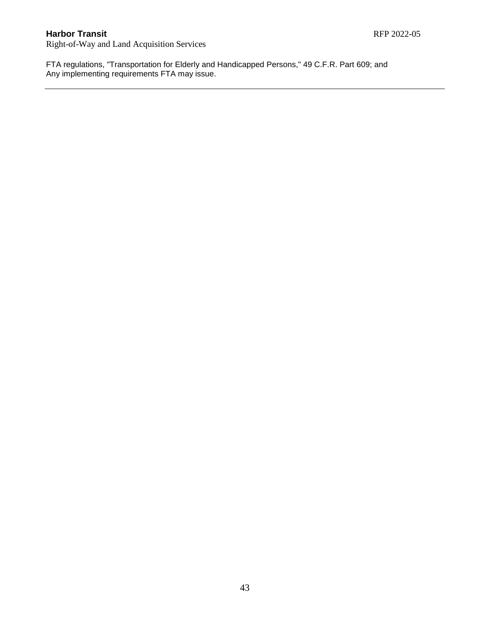Right-of-Way and Land Acquisition Services

FTA regulations, "Transportation for Elderly and Handicapped Persons," 49 C.F.R. Part 609; and Any implementing requirements FTA may issue.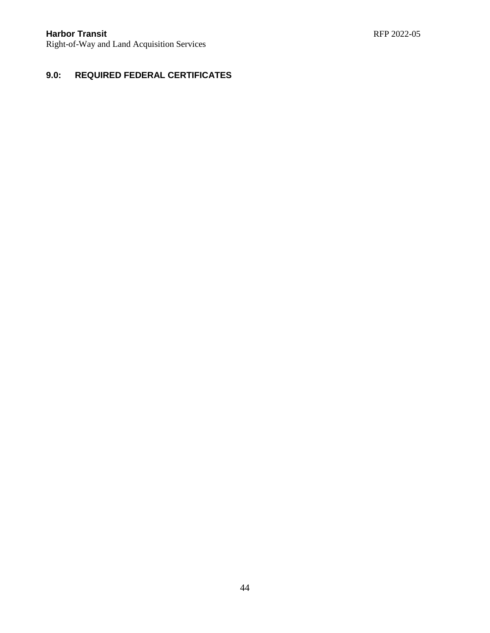# **9.0: REQUIRED FEDERAL CERTIFICATES**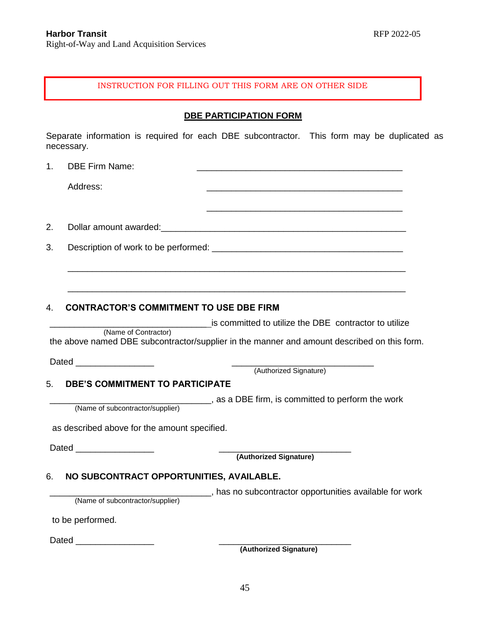#### INSTRUCTION FOR FILLING OUT THIS FORM ARE ON OTHER SIDE

### **DBE PARTICIPATION FORM**

Separate information is required for each DBE subcontractor. This form may be duplicated as necessary.

1. DBE Firm Name:

Address: \_\_\_\_\_\_\_\_\_\_\_\_\_\_\_\_\_\_\_\_\_\_\_\_\_\_\_\_\_\_\_\_\_\_\_\_\_\_\_\_

2. Dollar amount awarded: example and a set of the set of the set of the set of the set of the set of the set of the set of the set of the set of the set of the set of the set of the set of the set of the set of the set of

3. Description of work to be performed: \_\_\_\_\_\_\_\_\_\_\_\_\_\_\_\_\_\_\_\_\_\_\_\_\_\_\_\_\_\_\_\_\_\_\_\_\_\_\_

# 4. **CONTRACTOR'S COMMITMENT TO USE DBE FIRM**

is committed to utilize the DBE contractor to utilize (Name of Contractor) the above named DBE subcontractor/supplier in the manner and amount described on this form.

\_\_\_\_\_\_\_\_\_\_\_\_\_\_\_\_\_\_\_\_\_\_\_\_\_\_\_\_\_\_\_\_\_\_\_\_\_\_\_\_\_\_\_\_\_\_\_\_\_\_\_\_\_\_\_\_\_\_\_\_\_\_\_\_\_\_\_\_\_

\_\_\_\_\_\_\_\_\_\_\_\_\_\_\_\_\_\_\_\_\_\_\_\_\_\_\_\_\_\_\_\_\_\_\_\_\_\_\_\_\_\_\_\_\_\_\_\_\_\_\_\_\_\_\_\_\_\_\_\_\_\_\_\_\_\_\_\_\_

Dated **Dates and Security** 

(Authorized Signature)

\_\_\_\_\_\_\_\_\_\_\_\_\_\_\_\_\_\_\_\_\_\_\_\_\_\_\_\_\_\_\_\_\_\_\_\_\_\_\_\_

# 5. **DBE'S COMMITMENT TO PARTICIPATE**

\_\_\_\_\_\_\_\_\_\_\_\_\_\_\_\_\_\_\_\_\_\_\_\_\_\_\_\_\_\_\_\_\_, as a DBE firm, is committed to perform the work

(Name of subcontractor/supplier)

as described above for the amount specified.

Dated \_\_\_\_\_\_\_\_\_\_\_\_\_\_\_\_ \_\_\_\_\_\_\_\_\_\_\_\_\_\_\_\_\_\_\_\_\_\_\_\_\_\_\_

 **(Authorized Signature)**

# 6. **NO SUBCONTRACT OPPORTUNITIES, AVAILABLE.**

\_\_\_\_\_\_\_\_\_\_\_\_\_\_\_\_\_\_\_\_\_\_\_\_\_\_\_\_\_\_\_\_\_, has no subcontractor opportunities available for work

(Name of subcontractor/supplier)

to be performed.

Dated \_\_\_\_\_\_\_\_\_\_\_\_\_\_\_\_ \_\_\_\_\_\_\_\_\_\_\_\_\_\_\_\_\_\_\_\_\_\_\_\_\_\_\_

 **(Authorized Signature)**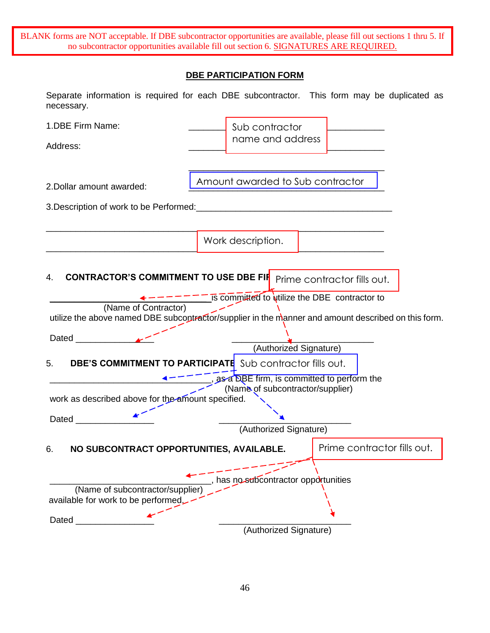BLANK forms are NOT acceptable. If DBE subcontractor opportunities are available, please fill out sections 1 thru 5. If no subcontractor opportunities available fill out section 6. SIGNATURES ARE REQUIRED.

# **DBE PARTICIPATION FORM**

| necessary.                                                                                                                                                                                                                    | Separate information is required for each DBE subcontractor. This form may be duplicated as         |  |  |
|-------------------------------------------------------------------------------------------------------------------------------------------------------------------------------------------------------------------------------|-----------------------------------------------------------------------------------------------------|--|--|
| 1.DBE Firm Name:                                                                                                                                                                                                              | Sub contractor                                                                                      |  |  |
| Address:                                                                                                                                                                                                                      | name and address                                                                                    |  |  |
|                                                                                                                                                                                                                               |                                                                                                     |  |  |
| 2. Dollar amount awarded:                                                                                                                                                                                                     | Amount awarded to Sub contractor                                                                    |  |  |
|                                                                                                                                                                                                                               |                                                                                                     |  |  |
|                                                                                                                                                                                                                               |                                                                                                     |  |  |
|                                                                                                                                                                                                                               | Work description.                                                                                   |  |  |
|                                                                                                                                                                                                                               |                                                                                                     |  |  |
| <b>CONTRACTOR'S COMMITMENT TO USE DBE FIR</b><br>4.                                                                                                                                                                           | Prime contractor fills out.                                                                         |  |  |
|                                                                                                                                                                                                                               |                                                                                                     |  |  |
| (Name of Contractor)                                                                                                                                                                                                          | $\frac{- - - -}{-}$ is committed to whilize the DBE contractor to                                   |  |  |
|                                                                                                                                                                                                                               | utilize the above named DBE subcontractor/supplier in the manner and amount described on this form. |  |  |
| Dated American Security American Security American Security American Security American Security American Security American Security American Security American Security American Security American Security American Security |                                                                                                     |  |  |
| (Authorized Signature)                                                                                                                                                                                                        |                                                                                                     |  |  |
| <b>DBE'S COMMITMENT TO PARTICIPATE</b> Sub contractor fills out.<br>5.<br>, as a DBE firm, is committed to perform the                                                                                                        |                                                                                                     |  |  |
|                                                                                                                                                                                                                               | (Name of subcontractor/supplier)                                                                    |  |  |
| work as described above for the amount specified.                                                                                                                                                                             |                                                                                                     |  |  |
| Dated __<br>(Authorized Signature)                                                                                                                                                                                            |                                                                                                     |  |  |
|                                                                                                                                                                                                                               |                                                                                                     |  |  |
| NO SUBCONTRACT OPPORTUNITIES. AVAILABLE<br>6.                                                                                                                                                                                 | Prime contractor fills out.                                                                         |  |  |
|                                                                                                                                                                                                                               |                                                                                                     |  |  |
| has no subcontractor opportunities<br>(Name of subcontractor/supplier)                                                                                                                                                        |                                                                                                     |  |  |
| available for work to be performed.                                                                                                                                                                                           |                                                                                                     |  |  |
| Dated_                                                                                                                                                                                                                        |                                                                                                     |  |  |
|                                                                                                                                                                                                                               | (Authorized Signature)                                                                              |  |  |

46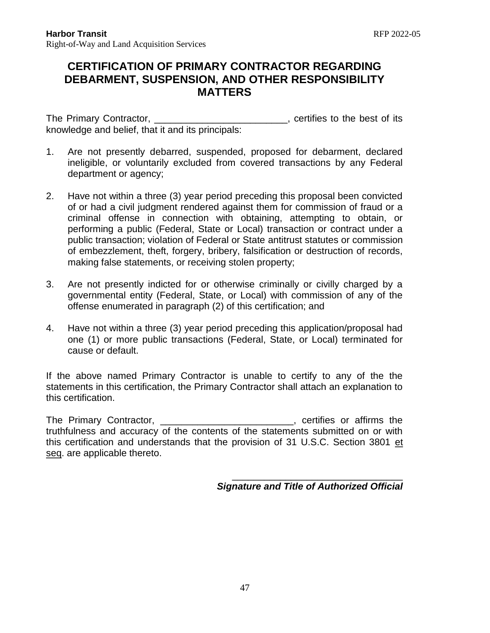# **CERTIFICATION OF PRIMARY CONTRACTOR REGARDING DEBARMENT, SUSPENSION, AND OTHER RESPONSIBILITY MATTERS**

The Primary Contractor, \_\_\_\_\_\_\_\_\_\_\_\_\_\_\_\_\_\_\_\_\_\_\_\_\_, certifies to the best of its knowledge and belief, that it and its principals:

- 1. Are not presently debarred, suspended, proposed for debarment, declared ineligible, or voluntarily excluded from covered transactions by any Federal department or agency;
- 2. Have not within a three (3) year period preceding this proposal been convicted of or had a civil judgment rendered against them for commission of fraud or a criminal offense in connection with obtaining, attempting to obtain, or performing a public (Federal, State or Local) transaction or contract under a public transaction; violation of Federal or State antitrust statutes or commission of embezzlement, theft, forgery, bribery, falsification or destruction of records, making false statements, or receiving stolen property;
- 3. Are not presently indicted for or otherwise criminally or civilly charged by a governmental entity (Federal, State, or Local) with commission of any of the offense enumerated in paragraph (2) of this certification; and
- 4. Have not within a three (3) year period preceding this application/proposal had one (1) or more public transactions (Federal, State, or Local) terminated for cause or default.

If the above named Primary Contractor is unable to certify to any of the the statements in this certification, the Primary Contractor shall attach an explanation to this certification.

The Primary Contractor, \_\_\_\_\_\_\_\_\_\_\_\_\_\_\_\_\_\_\_\_\_\_\_\_\_, certifies or affirms the truthfulness and accuracy of the contents of the statements submitted on or with this certification and understands that the provision of 31 U.S.C. Section 3801 et seq. are applicable thereto.

*Signature and Title of Authorized Official*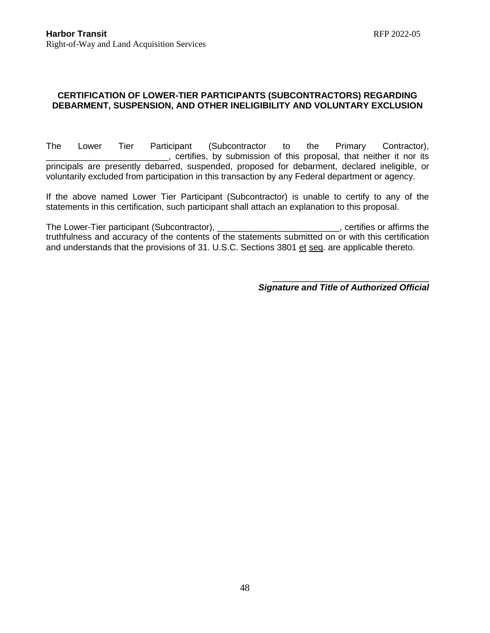# **CERTIFICATION OF LOWER-TIER PARTICIPANTS (SUBCONTRACTORS) REGARDING DEBARMENT, SUSPENSION, AND OTHER INELIGIBILITY AND VOLUNTARY EXCLUSION**

The Lower Tier Participant (Subcontractor to the Primary Contractor), \_\_\_\_\_\_\_\_\_\_\_\_\_\_\_\_\_\_\_\_\_\_\_\_\_, certifies, by submission of this proposal, that neither it nor its principals are presently debarred, suspended, proposed for debarment, declared ineligible, or voluntarily excluded from participation in this transaction by any Federal department or agency.

If the above named Lower Tier Participant (Subcontractor) is unable to certify to any of the statements in this certification, such participant shall attach an explanation to this proposal.

The Lower-Tier participant (Subcontractor), \_\_\_\_\_\_\_\_\_\_\_\_\_\_\_\_\_\_\_\_\_\_\_\_\_\_\_\_, certifies or affirms the truthfulness and accuracy of the contents of the statements submitted on or with this certification and understands that the provisions of 31. U.S.C. Sections 3801 et seq. are applicable thereto.

*Signature and Title of Authorized Official*

\_\_\_\_\_\_\_\_\_\_\_\_\_\_\_\_\_\_\_\_\_\_\_\_\_\_\_\_\_\_\_\_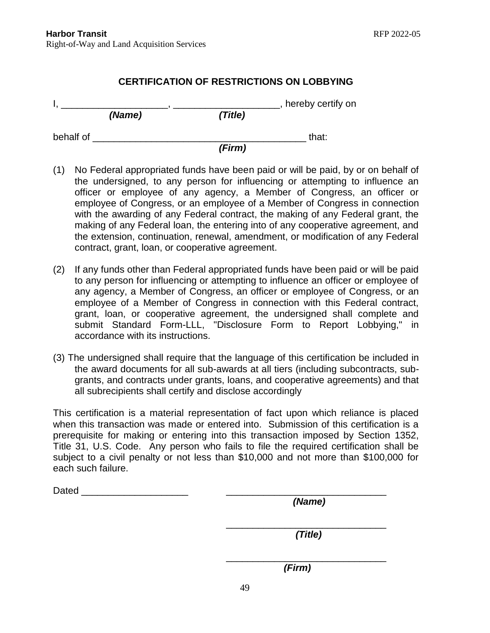# **CERTIFICATION OF RESTRICTIONS ON LOBBYING**

|           |        | hereby certify on |       |
|-----------|--------|-------------------|-------|
|           | (Name) | (Title)           |       |
| behalf of |        |                   | that: |
|           |        | (Firm)            |       |

- (1) No Federal appropriated funds have been paid or will be paid, by or on behalf of the undersigned, to any person for influencing or attempting to influence an officer or employee of any agency, a Member of Congress, an officer or employee of Congress, or an employee of a Member of Congress in connection with the awarding of any Federal contract, the making of any Federal grant, the making of any Federal loan, the entering into of any cooperative agreement, and the extension, continuation, renewal, amendment, or modification of any Federal contract, grant, loan, or cooperative agreement.
- (2) If any funds other than Federal appropriated funds have been paid or will be paid to any person for influencing or attempting to influence an officer or employee of any agency, a Member of Congress, an officer or employee of Congress, or an employee of a Member of Congress in connection with this Federal contract, grant, loan, or cooperative agreement, the undersigned shall complete and submit Standard Form-LLL, "Disclosure Form to Report Lobbying," in accordance with its instructions.
- (3) The undersigned shall require that the language of this certification be included in the award documents for all sub-awards at all tiers (including subcontracts, subgrants, and contracts under grants, loans, and cooperative agreements) and that all subrecipients shall certify and disclose accordingly

This certification is a material representation of fact upon which reliance is placed when this transaction was made or entered into. Submission of this certification is a prerequisite for making or entering into this transaction imposed by Section 1352, Title 31, U.S. Code. Any person who fails to file the required certification shall be subject to a civil penalty or not less than \$10,000 and not more than \$100,000 for each such failure.

| Dated | (Name)  |
|-------|---------|
|       |         |
|       |         |
|       |         |
|       | (Title) |
|       |         |
|       |         |
|       | (Firm)  |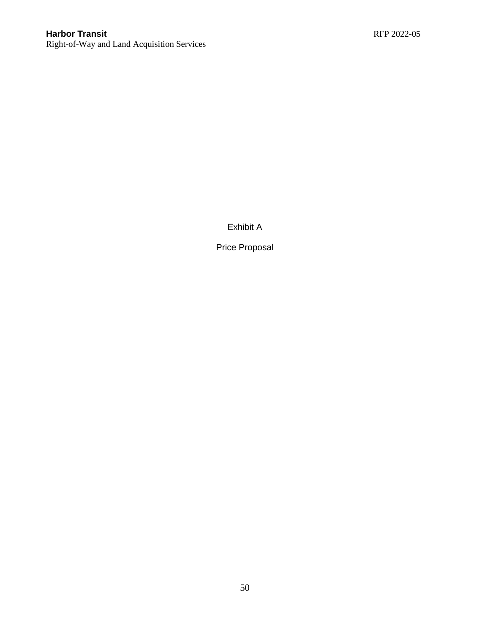Right-of-Way and Land Acquisition Services

Exhibit A

Price Proposal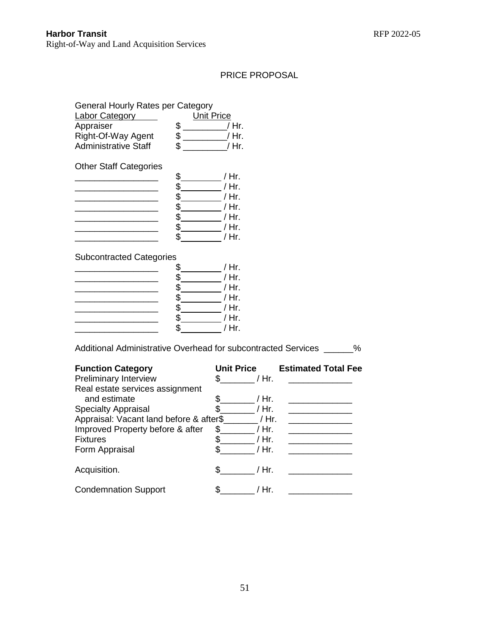# PRICE PROPOSAL

# General Hourly Rates per Category

| <b>Labor Category</b>       | <b>Unit Price</b> |
|-----------------------------|-------------------|
| Appraiser                   | / Hr.             |
| Right-Of-Way Agent          | / Hr.             |
| <b>Administrative Staff</b> | / Hr.             |

Other Staff Categories

| <b>Official Ottal Outogonoo</b> |    |       |
|---------------------------------|----|-------|
|                                 | \$ | / Hr. |
|                                 | \$ | / Hr. |
|                                 | \$ | / Hr. |
|                                 | \$ | / Hr. |
|                                 | \$ | / Hr. |
|                                 | \$ | / Hr. |
|                                 | ፍ  | / Hr. |
|                                 |    |       |

# Subcontracted Categories

|  | / Hr.   |
|--|---------|
|  | / Hr.   |
|  | / Hr.   |
|  | / Hr.   |
|  | / Hr.   |
|  | / Hr.   |
|  | / $Hr.$ |

Additional Administrative Overhead for subcontracted Services \_\_\_\_\_\_%

| <b>Function Category</b>                 | <b>Unit Price</b> | <b>Estimated Total Fee</b> |
|------------------------------------------|-------------------|----------------------------|
| <b>Preliminary Interview</b>             | / Hr.             |                            |
| Real estate services assignment          |                   |                            |
| and estimate                             | / Hr.             |                            |
| <b>Specialty Appraisal</b>               | / Hr.             |                            |
| Appraisal: Vacant land before & after\$_ | / Hr.             |                            |
| Improved Property before & after         | / Hr.<br>S.       |                            |
| <b>Fixtures</b>                          | \$<br>/ Hr.       |                            |
| Form Appraisal                           | / Hr.             |                            |
| Acquisition.                             | / Hr.             |                            |
| <b>Condemnation Support</b>              | / Hr.             |                            |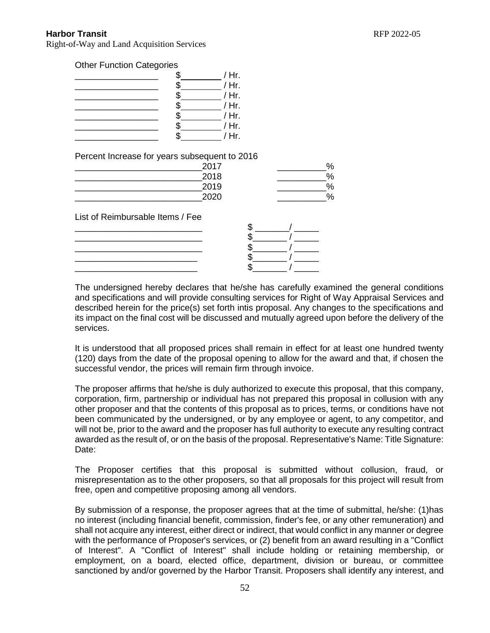Right-of-Way and Land Acquisition Services

Other Function Categories

|  | / Hr.   |
|--|---------|
|  | / $Hr.$ |
|  | / Hr.   |
|  | / Hr.   |
|  | / Hr.   |
|  | / Hr.   |
|  | / $Hr$  |

Percent Increase for years subsequent to 2016

| 2017 | O.<br>70 |
|------|----------|
| 2018 | $\%$     |
| 2019 | о,<br>7ο |
| 2020 | $\%$     |
|      |          |

List of Reimbursable Items / Fee

The undersigned hereby declares that he/she has carefully examined the general conditions and specifications and will provide consulting services for Right of Way Appraisal Services and described herein for the price(s) set forth intis proposal. Any changes to the specifications and its impact on the final cost will be discussed and mutually agreed upon before the delivery of the services.

It is understood that all proposed prices shall remain in effect for at least one hundred twenty (120) days from the date of the proposal opening to allow for the award and that, if chosen the successful vendor, the prices will remain firm through invoice.

The proposer affirms that he/she is duly authorized to execute this proposal, that this company, corporation, firm, partnership or individual has not prepared this proposal in collusion with any other proposer and that the contents of this proposal as to prices, terms, or conditions have not been communicated by the undersigned, or by any employee or agent, to any competitor, and will not be, prior to the award and the proposer has full authority to execute any resulting contract awarded as the result of, or on the basis of the proposal. Representative's Name: Title Signature: Date:

The Proposer certifies that this proposal is submitted without collusion, fraud, or misrepresentation as to the other proposers, so that all proposals for this project will result from free, open and competitive proposing among all vendors.

By submission of a response, the proposer agrees that at the time of submittal, he/she: (1)has no interest (including financial benefit, commission, finder's fee, or any other remuneration) and shall not acquire any interest, either direct or indirect, that would conflict in any manner or degree with the performance of Proposer's services, or (2) benefit from an award resulting in a "Conflict of Interest". A "Conflict of Interest" shall include holding or retaining membership, or employment, on a board, elected office, department, division or bureau, or committee sanctioned by and/or governed by the Harbor Transit. Proposers shall identify any interest, and